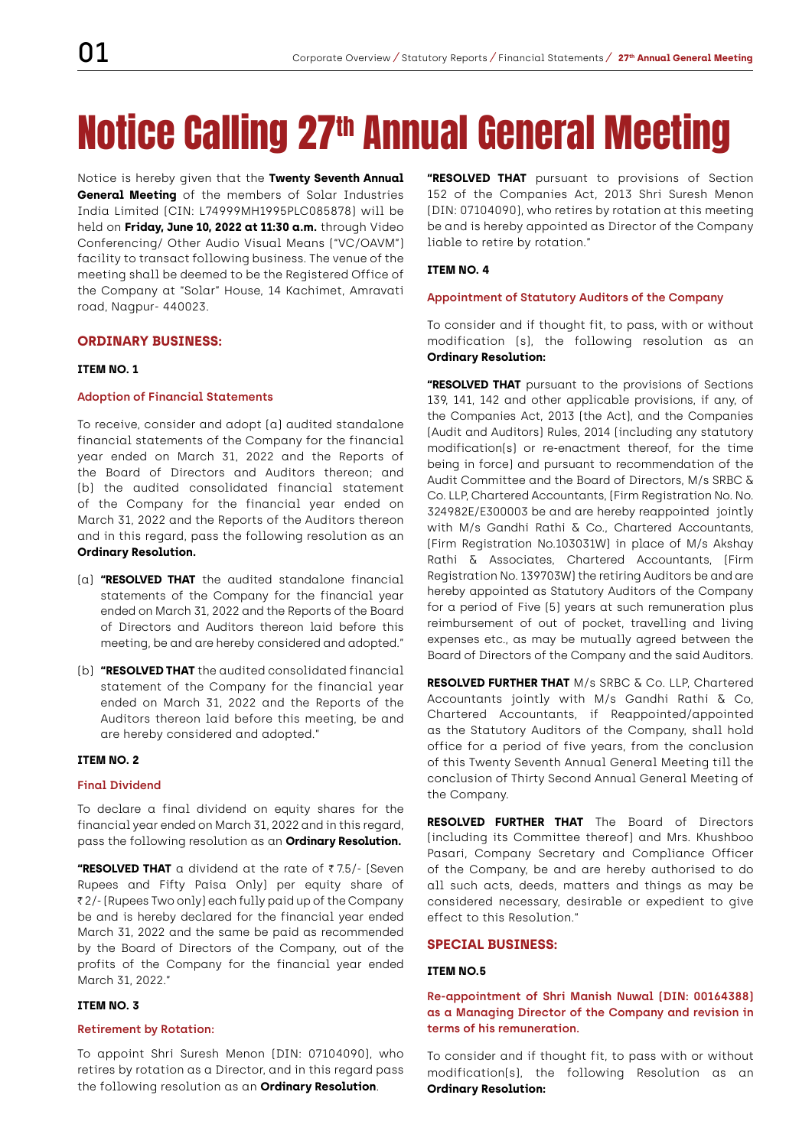## Notice Calling 27th Annual General Meeting

Notice is hereby given that the **Twenty Seventh Annual General Meeting** of the members of Solar Industries India Limited (CIN: L74999MH1995PLC085878) will be held on **Friday, June 10, 2022 at 11:30 a.m.** through Video Conferencing/ Other Audio Visual Means ("VC/OAVM") facility to transact following business. The venue of the meeting shall be deemed to be the Registered Office of the Company at "Solar" House, 14 Kachimet, Amravati road, Nagpur- 440023.

## **ORDINARY BUSINESS:**

#### **ITEM NO. 1**

#### **Adoption of Financial Statements**

To receive, consider and adopt (a) audited standalone financial statements of the Company for the financial year ended on March 31, 2022 and the Reports of the Board of Directors and Auditors thereon; and (b) the audited consolidated financial statement of the Company for the financial year ended on March 31, 2022 and the Reports of the Auditors thereon and in this regard, pass the following resolution as an **Ordinary Resolution.**

- (a) **"RESOLVED THAT** the audited standalone financial statements of the Company for the financial year ended on March 31, 2022 and the Reports of the Board of Directors and Auditors thereon laid before this meeting, be and are hereby considered and adopted."
- (b) **"RESOLVED THAT** the audited consolidated financial statement of the Company for the financial year ended on March 31, 2022 and the Reports of the Auditors thereon laid before this meeting, be and are hereby considered and adopted."

#### **ITEM NO. 2**

#### **Final Dividend**

To declare a final dividend on equity shares for the financial year ended on March 31, 2022 and in this regard, pass the following resolution as an **Ordinary Resolution.**

**"RESOLVED THAT** a dividend at the rate of ₹7.5/- (Seven Rupees and Fifty Paisa Only) per equity share of ₹2/- (Rupees Two only) each fully paid up of the Company be and is hereby declared for the financial year ended March 31, 2022 and the same be paid as recommended by the Board of Directors of the Company, out of the profits of the Company for the financial year ended March 31, 2022."

## **ITEM NO. 3**

#### **Retirement by Rotation:**

To appoint Shri Suresh Menon (DIN: 07104090), who retires by rotation as a Director, and in this regard pass the following resolution as an **Ordinary Resolution**.

**"RESOLVED THAT** pursuant to provisions of Section 152 of the Companies Act, 2013 Shri Suresh Menon (DIN: 07104090), who retires by rotation at this meeting be and is hereby appointed as Director of the Company liable to retire by rotation."

#### **ITEM NO. 4**

#### **Appointment of Statutory Auditors of the Company**

To consider and if thought fit, to pass, with or without modification (s), the following resolution as an **Ordinary Resolution:**

**"RESOLVED THAT** pursuant to the provisions of Sections 139, 141, 142 and other applicable provisions, if any, of the Companies Act, 2013 (the Act), and the Companies (Audit and Auditors) Rules, 2014 (including any statutory modification(s) or re-enactment thereof, for the time being in force) and pursuant to recommendation of the Audit Committee and the Board of Directors, M/s SRBC & Co. LLP, Chartered Accountants, (Firm Registration No. No. 324982E/E300003 be and are hereby reappointed jointly with M/s Gandhi Rathi & Co., Chartered Accountants, (Firm Registration No.103031W) in place of M/s Akshay Rathi & Associates, Chartered Accountants, (Firm Registration No. 139703W) the retiring Auditors be and are hereby appointed as Statutory Auditors of the Company for a period of Five (5) years at such remuneration plus reimbursement of out of pocket, travelling and living expenses etc., as may be mutually agreed between the Board of Directors of the Company and the said Auditors.

**RESOLVED FURTHER THAT** M/s SRBC & Co. LLP, Chartered Accountants jointly with M/s Gandhi Rathi & Co, Chartered Accountants, if Reappointed/appointed as the Statutory Auditors of the Company, shall hold office for a period of five years, from the conclusion of this Twenty Seventh Annual General Meeting till the conclusion of Thirty Second Annual General Meeting of the Company.

**RESOLVED FURTHER THAT** The Board of Directors (including its Committee thereof) and Mrs. Khushboo Pasari, Company Secretary and Compliance Officer of the Company, be and are hereby authorised to do all such acts, deeds, matters and things as may be considered necessary, desirable or expedient to give effect to this Resolution."

## **SPECIAL BUSINESS:**

#### **ITEM NO.5**

## **Re-appointment of Shri Manish Nuwal (DIN: 00164388) as a Managing Director of the Company and revision in terms of his remuneration.**

To consider and if thought fit, to pass with or without modification(s), the following Resolution as an **Ordinary Resolution:**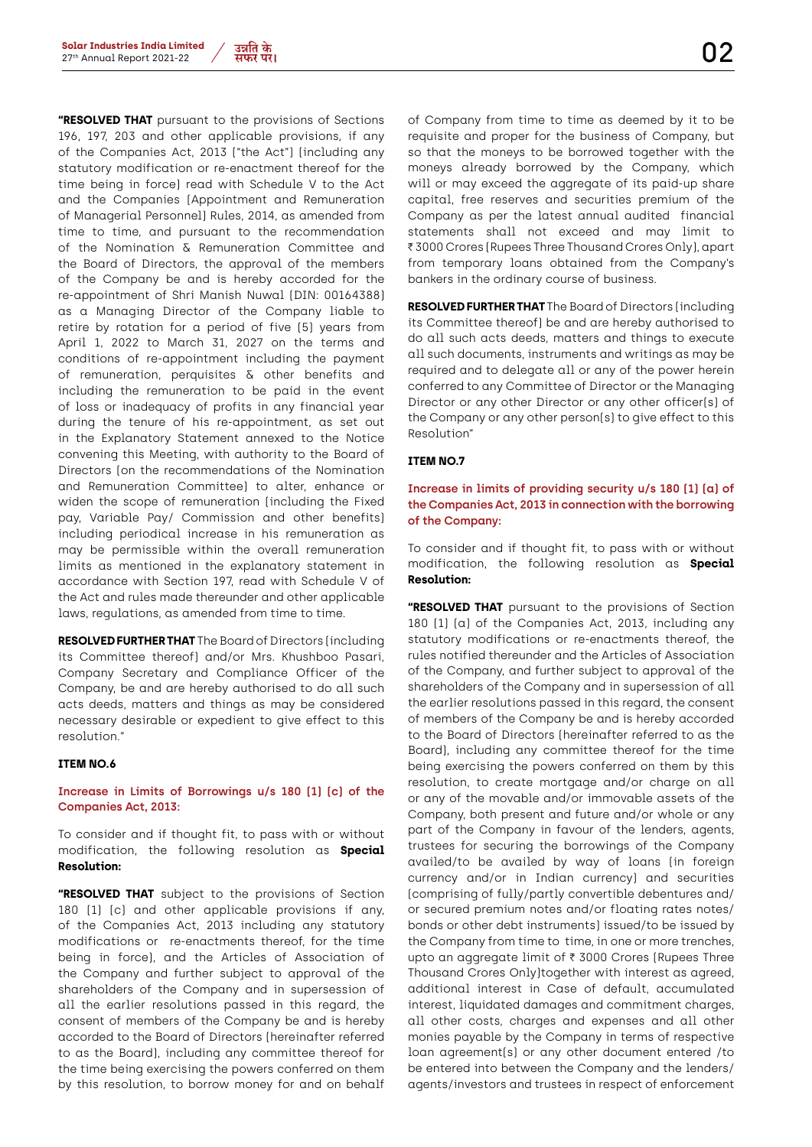

**"RESOLVED THAT** pursuant to the provisions of Sections 196, 197, 203 and other applicable provisions, if any of the Companies Act, 2013 ("the Act") (including any statutory modification or re-enactment thereof for the time being in force) read with Schedule V to the Act and the Companies (Appointment and Remuneration of Managerial Personnel) Rules, 2014, as amended from time to time, and pursuant to the recommendation of the Nomination & Remuneration Committee and the Board of Directors, the approval of the members of the Company be and is hereby accorded for the re-appointment of Shri Manish Nuwal (DIN: 00164388) as a Managing Director of the Company liable to retire by rotation for a period of five (5) years from April 1, 2022 to March 31, 2027 on the terms and conditions of re-appointment including the payment of remuneration, perquisites & other benefits and including the remuneration to be paid in the event of loss or inadequacy of profits in any financial year during the tenure of his re-appointment, as set out in the Explanatory Statement annexed to the Notice convening this Meeting, with authority to the Board of Directors (on the recommendations of the Nomination and Remuneration Committee) to alter, enhance or widen the scope of remuneration (including the Fixed pay, Variable Pay/ Commission and other benefits) including periodical increase in his remuneration as may be permissible within the overall remuneration limits as mentioned in the explanatory statement in accordance with Section 197, read with Schedule V of the Act and rules made thereunder and other applicable laws, regulations, as amended from time to time.

**RESOLVED FURTHER THAT** The Board of Directors (including its Committee thereof) and/or Mrs. Khushboo Pasari, Company Secretary and Compliance Officer of the Company, be and are hereby authorised to do all such acts deeds, matters and things as may be considered necessary desirable or expedient to give effect to this resolution."

#### **ITEM NO.6**

#### **Increase in Limits of Borrowings u/s 180 (1) (c) of the Companies Act, 2013:**

To consider and if thought fit, to pass with or without modification, the following resolution as **Special Resolution:**

**"RESOLVED THAT** subject to the provisions of Section 180 (1) (c) and other applicable provisions if any, of the Companies Act, 2013 including any statutory modifications or re-enactments thereof, for the time being in force), and the Articles of Association of the Company and further subject to approval of the shareholders of the Company and in supersession of all the earlier resolutions passed in this regard, the consent of members of the Company be and is hereby accorded to the Board of Directors (hereinafter referred to as the Board), including any committee thereof for the time being exercising the powers conferred on them by this resolution, to borrow money for and on behalf

of Company from time to time as deemed by it to be requisite and proper for the business of Company, but so that the moneys to be borrowed together with the moneys already borrowed by the Company, which will or may exceed the aggregate of its paid-up share capital, free reserves and securities premium of the Company as per the latest annual audited financial statements shall not exceed and may limit to ₹3000 Crores (Rupees Three Thousand Crores Only), apart from temporary loans obtained from the Company's bankers in the ordinary course of business.

**RESOLVED FURTHER THAT** The Board of Directors (including its Committee thereof) be and are hereby authorised to do all such acts deeds, matters and things to execute all such documents, instruments and writings as may be required and to delegate all or any of the power herein conferred to any Committee of Director or the Managing Director or any other Director or any other officer(s) of the Company or any other person(s) to give effect to this Resolution"

#### **ITEM NO.7**

## **Increase in limits of providing security u/s 180 (1) (a) of the Companies Act, 2013 in connection with the borrowing of the Company:**

To consider and if thought fit, to pass with or without modification, the following resolution as **Special Resolution:**

**"RESOLVED THAT** pursuant to the provisions of Section 180 (1) (a) of the Companies Act, 2013, including any statutory modifications or re-enactments thereof, the rules notified thereunder and the Articles of Association of the Company, and further subject to approval of the shareholders of the Company and in supersession of all the earlier resolutions passed in this regard, the consent of members of the Company be and is hereby accorded to the Board of Directors (hereinafter referred to as the Board), including any committee thereof for the time being exercising the powers conferred on them by this resolution, to create mortgage and/or charge on all or any of the movable and/or immovable assets of the Company, both present and future and/or whole or any part of the Company in favour of the lenders, agents, trustees for securing the borrowings of the Company availed/to be availed by way of loans (in foreign currency and/or in Indian currency) and securities (comprising of fully/partly convertible debentures and/ or secured premium notes and/or floating rates notes/ bonds or other debt instruments) issued/to be issued by the Company from time to time, in one or more trenches, upto an aggregate limit of ₹ 3000 Crores (Rupees Three Thousand Crores Only)together with interest as agreed, additional interest in Case of default, accumulated interest, liquidated damages and commitment charges, all other costs, charges and expenses and all other monies payable by the Company in terms of respective loan agreement(s) or any other document entered /to be entered into between the Company and the lenders/ agents/investors and trustees in respect of enforcement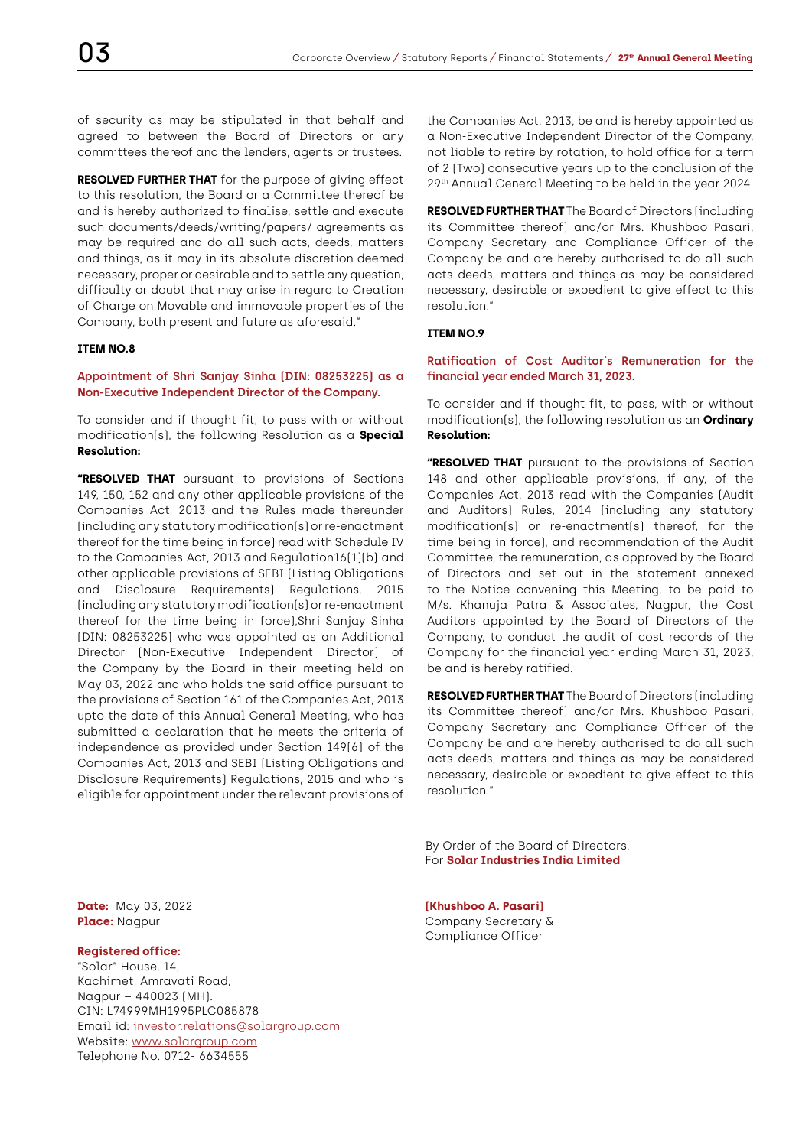of security as may be stipulated in that behalf and agreed to between the Board of Directors or any committees thereof and the lenders, agents or trustees.

**RESOLVED FURTHER THAT** for the purpose of giving effect to this resolution, the Board or a Committee thereof be and is hereby authorized to finalise, settle and execute such documents/deeds/writing/papers/ agreements as may be required and do all such acts, deeds, matters and things, as it may in its absolute discretion deemed necessary, proper or desirable and to settle any question, difficulty or doubt that may arise in regard to Creation of Charge on Movable and immovable properties of the Company, both present and future as aforesaid."

## **ITEM NO.8**

**Appointment of Shri Sanjay Sinha (DIN: 08253225) as a Non-Executive Independent Director of the Company.**

To consider and if thought fit, to pass with or without modification(s), the following Resolution as a **Special Resolution:**

**"RESOLVED THAT** pursuant to provisions of Sections 149, 150, 152 and any other applicable provisions of the Companies Act, 2013 and the Rules made thereunder (including any statutory modification(s) or re-enactment thereof for the time being in force) read with Schedule IV to the Companies Act, 2013 and Regulation16(1)(b) and other applicable provisions of SEBI (Listing Obligations and Disclosure Requirements) Regulations, 2015 (including any statutory modification(s) or re-enactment thereof for the time being in force),Shri Sanjay Sinha (DIN: 08253225) who was appointed as an Additional Director (Non-Executive Independent Director) of the Company by the Board in their meeting held on May 03, 2022 and who holds the said office pursuant to the provisions of Section 161 of the Companies Act, 2013 upto the date of this Annual General Meeting, who has submitted a declaration that he meets the criteria of independence as provided under Section 149(6) of the Companies Act, 2013 and SEBI (Listing Obligations and Disclosure Requirements) Regulations, 2015 and who is eligible for appointment under the relevant provisions of

the Companies Act, 2013, be and is hereby appointed as a Non-Executive Independent Director of the Company, not liable to retire by rotation, to hold office for a term of 2 (Two) consecutive years up to the conclusion of the 29th Annual General Meeting to be held in the year 2024.

**RESOLVED FURTHER THAT** The Board of Directors (including its Committee thereof) and/or Mrs. Khushboo Pasari, Company Secretary and Compliance Officer of the Company be and are hereby authorised to do all such acts deeds, matters and things as may be considered necessary, desirable or expedient to give effect to this resolution."

#### **ITEM NO.9**

#### **Ratification of Cost Auditor`s Remuneration for the financial year ended March 31, 2023.**

To consider and if thought fit, to pass, with or without modification(s), the following resolution as an **Ordinary Resolution:**

**"RESOLVED THAT** pursuant to the provisions of Section 148 and other applicable provisions, if any, of the Companies Act, 2013 read with the Companies (Audit and Auditors) Rules, 2014 (including any statutory modification(s) or re-enactment(s) thereof, for the time being in force), and recommendation of the Audit Committee, the remuneration, as approved by the Board of Directors and set out in the statement annexed to the Notice convening this Meeting, to be paid to M/s. Khanuja Patra & Associates, Nagpur, the Cost Auditors appointed by the Board of Directors of the Company, to conduct the audit of cost records of the Company for the financial year ending March 31, 2023, be and is hereby ratified.

**RESOLVED FURTHER THAT** The Board of Directors (including its Committee thereof) and/or Mrs. Khushboo Pasari, Company Secretary and Compliance Officer of the Company be and are hereby authorised to do all such acts deeds, matters and things as may be considered necessary, desirable or expedient to give effect to this resolution."

By Order of the Board of Directors, For **Solar Industries India Limited**

**Place:** Nagpur **Company Secretary & Company Secretary & Company Secretary &** Compliance Officer

**Date:** May 03, 2022 **(Khushboo A. Pasari)**

#### **Registered office:**

"Solar" House, 14, Kachimet, Amravati Road, Nagpur – 440023 (MH). CIN: L74999MH1995PLC085878 Email id: investor.relations@solargroup.com Website: www.solargroup.com Telephone No. 0712- 6634555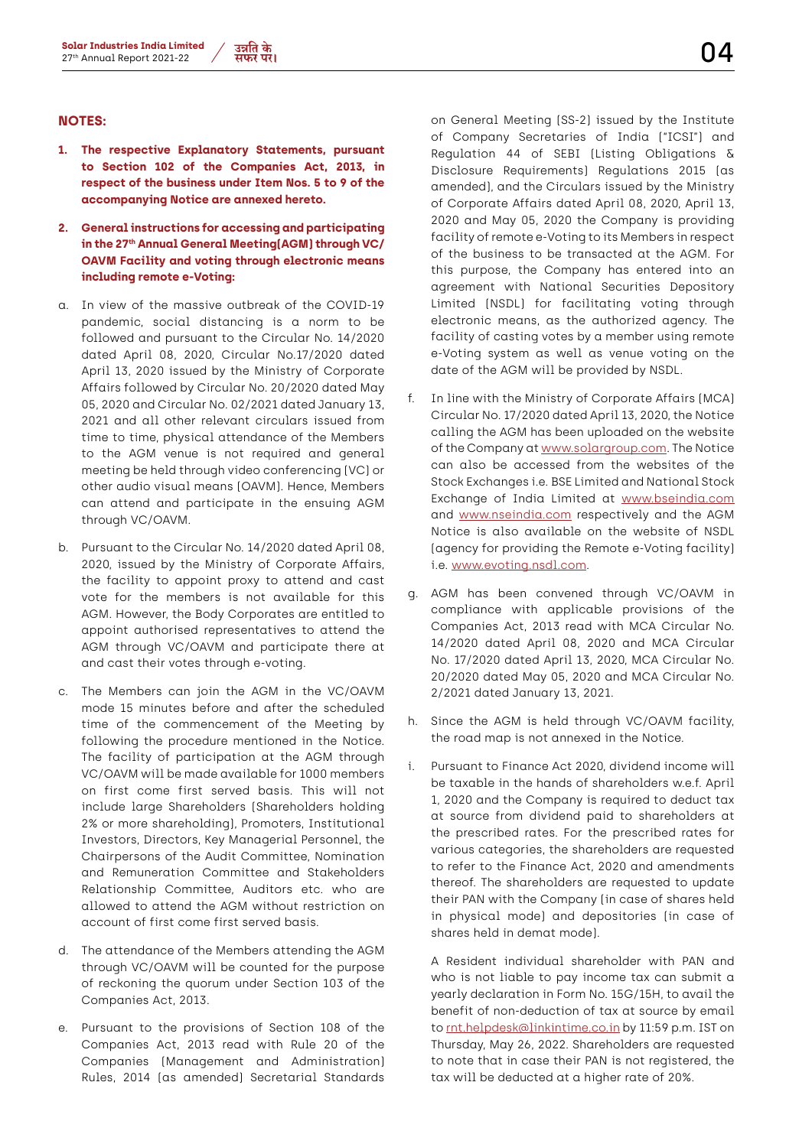- **1. The respective Explanatory Statements, pursuant to Section 102 of the Companies Act, 2013, in respect of the business under Item Nos. 5 to 9 of the accompanying Notice are annexed hereto.**
- **2. General instructions for accessing and participating in the 27th Annual General Meeting(AGM) through VC/ OAVM Facility and voting through electronic means including remote e-Voting:**
- a. In view of the massive outbreak of the COVID-19 pandemic, social distancing is a norm to be followed and pursuant to the Circular No. 14/2020 dated April 08, 2020, Circular No.17/2020 dated April 13, 2020 issued by the Ministry of Corporate Affairs followed by Circular No. 20/2020 dated May 05, 2020 and Circular No. 02/2021 dated January 13, 2021 and all other relevant circulars issued from time to time, physical attendance of the Members to the AGM venue is not required and general meeting be held through video conferencing (VC) or other audio visual means (OAVM). Hence, Members can attend and participate in the ensuing AGM through VC/OAVM.
- b. Pursuant to the Circular No. 14/2020 dated April 08, 2020, issued by the Ministry of Corporate Affairs, the facility to appoint proxy to attend and cast vote for the members is not available for this AGM. However, the Body Corporates are entitled to appoint authorised representatives to attend the AGM through VC/OAVM and participate there at and cast their votes through e-voting.
- c. The Members can join the AGM in the VC/OAVM mode 15 minutes before and after the scheduled time of the commencement of the Meeting by following the procedure mentioned in the Notice. The facility of participation at the AGM through VC/OAVM will be made available for 1000 members on first come first served basis. This will not include large Shareholders (Shareholders holding 2% or more shareholding), Promoters, Institutional Investors, Directors, Key Managerial Personnel, the Chairpersons of the Audit Committee, Nomination and Remuneration Committee and Stakeholders Relationship Committee, Auditors etc. who are allowed to attend the AGM without restriction on account of first come first served basis.
- d. The attendance of the Members attending the AGM through VC/OAVM will be counted for the purpose of reckoning the quorum under Section 103 of the Companies Act, 2013.
- e. Pursuant to the provisions of Section 108 of the Companies Act, 2013 read with Rule 20 of the Companies (Management and Administration) Rules, 2014 (as amended) Secretarial Standards

on General Meeting (SS-2) issued by the Institute of Company Secretaries of India ("ICSI") and Regulation 44 of SEBI (Listing Obligations & Disclosure Requirements) Regulations 2015 (as amended), and the Circulars issued by the Ministry of Corporate Affairs dated April 08, 2020, April 13, 2020 and May 05, 2020 the Company is providing facility of remote e-Voting to its Members in respect of the business to be transacted at the AGM. For this purpose, the Company has entered into an agreement with National Securities Depository Limited (NSDL) for facilitating voting through electronic means, as the authorized agency. The facility of casting votes by a member using remote e-Voting system as well as venue voting on the date of the AGM will be provided by NSDL.

- f. In line with the Ministry of Corporate Affairs (MCA) Circular No. 17/2020 dated April 13, 2020, the Notice calling the AGM has been uploaded on the website of the Company at www.solargroup.com. The Notice can also be accessed from the websites of the Stock Exchanges i.e. BSE Limited and National Stock Exchange of India Limited at www.bseindia.com and www.nseindia.com respectively and the AGM Notice is also available on the website of NSDL (agency for providing the Remote e-Voting facility) i.e. www.evoting.nsdl.com.
- g. AGM has been convened through VC/OAVM in compliance with applicable provisions of the Companies Act, 2013 read with MCA Circular No. 14/2020 dated April 08, 2020 and MCA Circular No. 17/2020 dated April 13, 2020, MCA Circular No. 20/2020 dated May 05, 2020 and MCA Circular No. 2/2021 dated January 13, 2021.
- h. Since the AGM is held through VC/OAVM facility, the road map is not annexed in the Notice.
- i. Pursuant to Finance Act 2020, dividend income will be taxable in the hands of shareholders w.e.f. April 1, 2020 and the Company is required to deduct tax at source from dividend paid to shareholders at the prescribed rates. For the prescribed rates for various categories, the shareholders are requested to refer to the Finance Act, 2020 and amendments thereof. The shareholders are requested to update their PAN with the Company (in case of shares held in physical mode) and depositories (in case of shares held in demat mode).

A Resident individual shareholder with PAN and who is not liable to pay income tax can submit a yearly declaration in Form No. 15G/15H, to avail the benefit of non-deduction of tax at source by email to rnt.helpdesk@linkintime.co.in by 11:59 p.m. IST on Thursday, May 26, 2022. Shareholders are requested to note that in case their PAN is not registered, the tax will be deducted at a higher rate of 20%.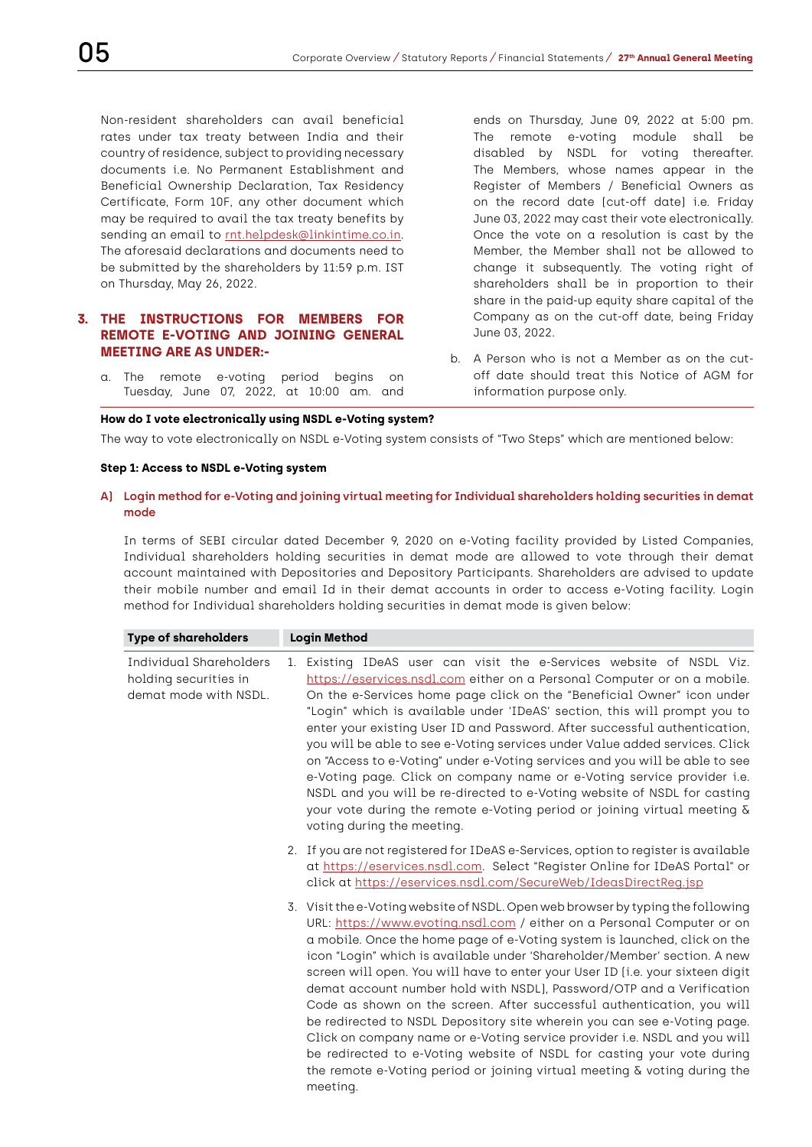Non-resident shareholders can avail beneficial rates under tax treaty between India and their country of residence, subject to providing necessary documents i.e. No Permanent Establishment and Beneficial Ownership Declaration, Tax Residency Certificate, Form 10F, any other document which may be required to avail the tax treaty benefits by sending an email to rnt.helpdesk@linkintime.co.in. The aforesaid declarations and documents need to be submitted by the shareholders by 11:59 p.m. IST on Thursday, May 26, 2022.

## **3. THE INSTRUCTIONS FOR MEMBERS FOR REMOTE E-VOTING AND JOINING GENERAL MEETING ARE AS UNDER:-**

a. The remote e-voting period begins on Tuesday, June 07, 2022, at 10:00 am. and

ends on Thursday, June 09, 2022 at 5:00 pm. The remote e-voting module shall be disabled by NSDL for voting thereafter. The Members, whose names appear in the Register of Members / Beneficial Owners as on the record date (cut-off date) i.e. Friday June 03, 2022 may cast their vote electronically. Once the vote on a resolution is cast by the Member, the Member shall not be allowed to change it subsequently. The voting right of shareholders shall be in proportion to their share in the paid-up equity share capital of the Company as on the cut-off date, being Friday June 03, 2022.

b. A Person who is not a Member as on the cutoff date should treat this Notice of AGM for information purpose only.

#### **How do I vote electronically using NSDL e-Voting system?**

The way to vote electronically on NSDL e-Voting system consists of "Two Steps" which are mentioned below:

## **Step 1: Access to NSDL e-Voting system**

#### **A) Login method for e-Voting and joining virtual meeting for Individual shareholders holding securities in demat mode**

 In terms of SEBI circular dated December 9, 2020 on e-Voting facility provided by Listed Companies, Individual shareholders holding securities in demat mode are allowed to vote through their demat account maintained with Depositories and Depository Participants. Shareholders are advised to update their mobile number and email Id in their demat accounts in order to access e-Voting facility. Login method for Individual shareholders holding securities in demat mode is given below:

| <b>Type of shareholders</b>                                               |  | <b>Login Method</b>                                                                                                                                                                                                                                                                                                                                                                                                                                                                                                                                                                                                                                                                                                                                                                                                                                                                          |
|---------------------------------------------------------------------------|--|----------------------------------------------------------------------------------------------------------------------------------------------------------------------------------------------------------------------------------------------------------------------------------------------------------------------------------------------------------------------------------------------------------------------------------------------------------------------------------------------------------------------------------------------------------------------------------------------------------------------------------------------------------------------------------------------------------------------------------------------------------------------------------------------------------------------------------------------------------------------------------------------|
| Individual Shareholders<br>holding securities in<br>demat mode with NSDL. |  | 1. Existing IDeAS user can visit the e-Services website of NSDL Viz.<br>https://eservices.nsdl.com either on a Personal Computer or on a mobile.<br>On the e-Services home page click on the "Beneficial Owner" icon under<br>"Login" which is available under 'IDeAS' section, this will prompt you to<br>enter your existing User ID and Password. After successful authentication,<br>you will be able to see e-Voting services under Value added services. Click<br>on "Access to e-Voting" under e-Voting services and you will be able to see<br>e-Voting page. Click on company name or e-Voting service provider i.e.<br>NSDL and you will be re-directed to e-Voting website of NSDL for casting<br>your vote during the remote e-Voting period or joining virtual meeting $\delta$<br>voting during the meeting.                                                                   |
|                                                                           |  | 2. If you are not registered for IDeAS e-Services, option to register is available<br>at https://eservices.nsdl.com. Select "Register Online for IDeAS Portal" or<br>click at https://eservices.nsdl.com/SecureWeb/IdeasDirectReq.jsp                                                                                                                                                                                                                                                                                                                                                                                                                                                                                                                                                                                                                                                        |
|                                                                           |  | 3. Visit the e-Voting website of NSDL. Open web browser by typing the following<br>URL: https://www.evoting.nsdl.com / either on a Personal Computer or on<br>a mobile. Once the home page of e-Voting system is launched, click on the<br>icon "Login" which is available under 'Shareholder/Member' section. A new<br>screen will open. You will have to enter your User ID (i.e. your sixteen digit<br>demat account number hold with NSDL), Password/OTP and a Verification<br>Code as shown on the screen. After successful authentication, you will<br>be redirected to NSDL Depository site wherein you can see e-Voting page.<br>Click on company name or e-Voting service provider i.e. NSDL and you will<br>be redirected to e-Voting website of NSDL for casting your vote during<br>the remote e-Voting period or joining virtual meeting $\delta$ voting during the<br>meeting. |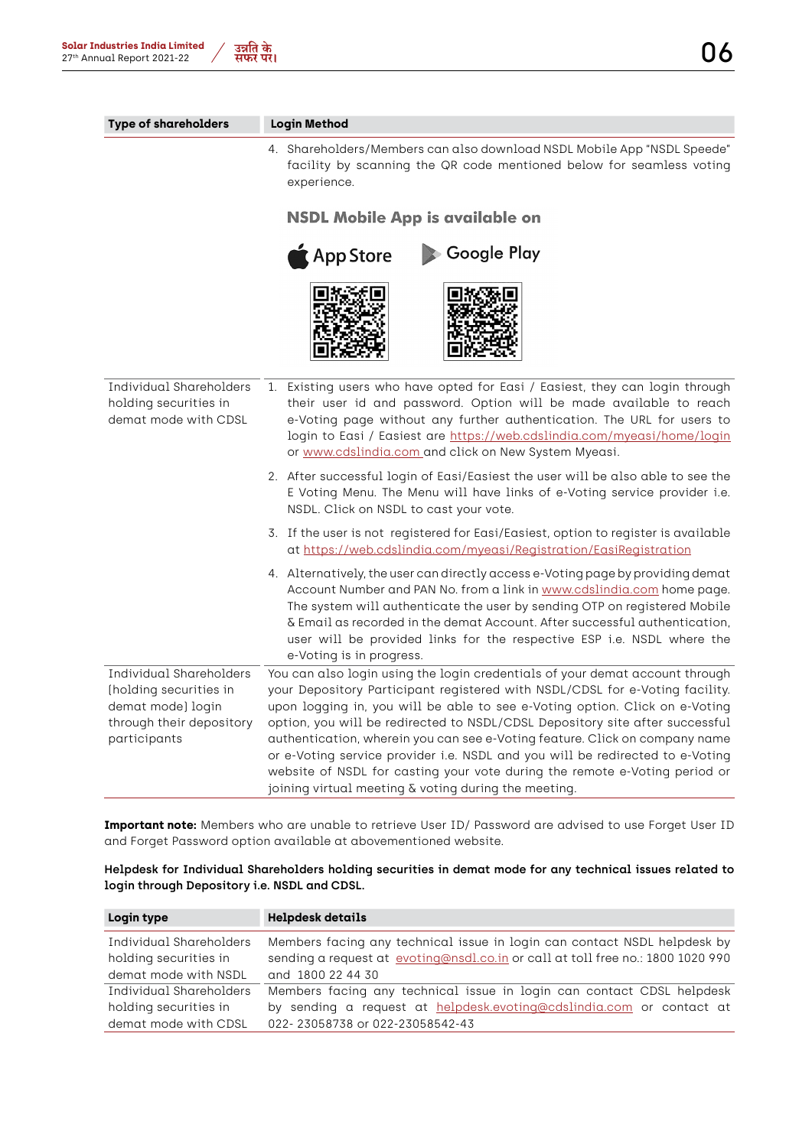| <b>Type of shareholders</b>                                                                                        | <b>Login Method</b>                                                                                                                                                                                                                                                                                                                                                                                                                                                                                                                                                                                                               |
|--------------------------------------------------------------------------------------------------------------------|-----------------------------------------------------------------------------------------------------------------------------------------------------------------------------------------------------------------------------------------------------------------------------------------------------------------------------------------------------------------------------------------------------------------------------------------------------------------------------------------------------------------------------------------------------------------------------------------------------------------------------------|
|                                                                                                                    | 4. Shareholders/Members can also download NSDL Mobile App "NSDL Speede"<br>facility by scanning the QR code mentioned below for seamless voting<br>experience.                                                                                                                                                                                                                                                                                                                                                                                                                                                                    |
|                                                                                                                    | <b>NSDL Mobile App is available on</b>                                                                                                                                                                                                                                                                                                                                                                                                                                                                                                                                                                                            |
|                                                                                                                    | Google Play<br>App Store                                                                                                                                                                                                                                                                                                                                                                                                                                                                                                                                                                                                          |
|                                                                                                                    |                                                                                                                                                                                                                                                                                                                                                                                                                                                                                                                                                                                                                                   |
| Individual Shareholders<br>holding securities in<br>demat mode with CDSL                                           | 1. Existing users who have opted for Easi / Easiest, they can login through<br>their user id and password. Option will be made available to reach<br>e-Voting page without any further authentication. The URL for users to<br>login to Easi / Easiest are https://web.cdslindia.com/myeasi/home/login<br>or www.cdslindia.com and click on New System Myeasi.                                                                                                                                                                                                                                                                    |
|                                                                                                                    | 2. After successful login of Easi/Easiest the user will be also able to see the<br>E Voting Menu. The Menu will have links of e-Voting service provider i.e.<br>NSDL. Click on NSDL to cast your vote.                                                                                                                                                                                                                                                                                                                                                                                                                            |
|                                                                                                                    | 3. If the user is not registered for Easi/Easiest, option to register is available<br>at https://web.cdslindia.com/myeasi/Registration/EasiRegistration                                                                                                                                                                                                                                                                                                                                                                                                                                                                           |
|                                                                                                                    | 4. Alternatively, the user can directly access e-Voting page by providing demat<br>Account Number and PAN No. from a link in www.cdslindia.com home page.<br>The system will authenticate the user by sending OTP on registered Mobile<br>& Email as recorded in the demat Account. After successful authentication,<br>user will be provided links for the respective ESP i.e. NSDL where the<br>e-Voting is in progress.                                                                                                                                                                                                        |
| Individual Shareholders<br>(holding securities in<br>demat mode) login<br>through their depository<br>participants | You can also login using the login credentials of your demat account through<br>your Depository Participant registered with NSDL/CDSL for e-Voting facility.<br>upon logging in, you will be able to see e-Voting option. Click on e-Voting<br>option, you will be redirected to NSDL/CDSL Depository site after successful<br>authentication, wherein you can see e-Voting feature. Click on company name<br>or e-Voting service provider i.e. NSDL and you will be redirected to e-Voting<br>website of NSDL for casting your vote during the remote e-Voting period or<br>joining virtual meeting & voting during the meeting. |

 **Important note:** Members who are unable to retrieve User ID/ Password are advised to use Forget User ID and Forget Password option available at abovementioned website.

 **Helpdesk for Individual Shareholders holding securities in demat mode for any technical issues related to login through Depository i.e. NSDL and CDSL.**

| Login type                                       | <b>Helpdesk details</b>                                                                                                                                     |
|--------------------------------------------------|-------------------------------------------------------------------------------------------------------------------------------------------------------------|
| Individual Shareholders<br>holding securities in | Members facing any technical issue in login can contact NSDL helpdesk by<br>sending a request at evoting@nsdl.co.in or call at toll free no.: 1800 1020 990 |
| demat mode with NSDL                             | and 1800 22 44 30                                                                                                                                           |
| Individual Shareholders                          | Members facing any technical issue in login can contact CDSL helpdesk                                                                                       |
| holding securities in                            | by sending a request at helpdesk.evoting@cdslindia.com or contact at                                                                                        |
| demat mode with CDSL                             | 022-23058738 or 022-23058542-43                                                                                                                             |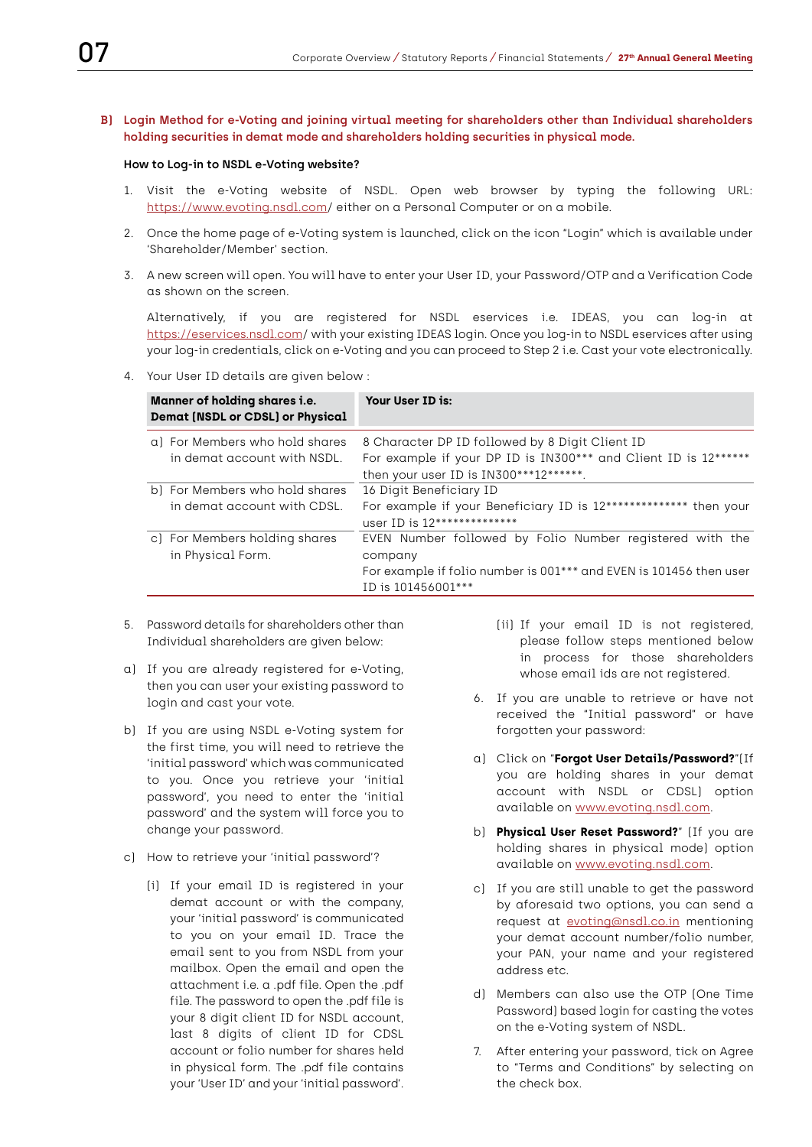## **B) Login Method for e-Voting and joining virtual meeting for shareholders other than Individual shareholders holding securities in demat mode and shareholders holding securities in physical mode.**

#### **How to Log-in to NSDL e-Voting website?**

- 1. Visit the e-Voting website of NSDL. Open web browser by typing the following URL: https://www.evoting.nsdl.com/ either on a Personal Computer or on a mobile.
- 2. Once the home page of e-Voting system is launched, click on the icon "Login" which is available under 'Shareholder/Member' section.
- 3. A new screen will open. You will have to enter your User ID, your Password/OTP and a Verification Code as shown on the screen.

 Alternatively, if you are registered for NSDL eservices i.e. IDEAS, you can log-in at https://eservices.nsdl.com/ with your existing IDEAS login. Once you log-in to NSDL eservices after using your log-in credentials, click on e-Voting and you can proceed to Step 2 i.e. Cast your vote electronically.

4. Your User ID details are given below :

| <b>Manner of holding shares i.e.</b><br><b>Demat (NSDL or CDSL) or Physical</b> | Your User ID is:                                                                                                                                                |
|---------------------------------------------------------------------------------|-----------------------------------------------------------------------------------------------------------------------------------------------------------------|
| a) For Members who hold shares<br>in demat account with NSDL.                   | 8 Character DP ID followed by 8 Digit Client ID<br>For example if your DP ID is IN300*** and Client ID is 12******<br>then your user ID is IN300***12******.    |
| b) For Members who hold shares<br>in demat account with CDSL.                   | 16 Digit Beneficiary ID<br>For example if your Beneficiary ID is 12************** then your<br>user ID is $12******************$                                |
| c) For Members holding shares<br>in Physical Form.                              | EVEN Number followed by Folio Number registered with the<br>company<br>For example if folio number is 001*** and EVEN is 101456 then user<br>ID is 101456001*** |

- 5. Password details for shareholders other than Individual shareholders are given below:
- a) If you are already registered for e-Voting, then you can user your existing password to login and cast your vote.
- b) If you are using NSDL e-Voting system for the first time, you will need to retrieve the 'initial password' which was communicated to you. Once you retrieve your 'initial password', you need to enter the 'initial password' and the system will force you to change your password.
- c) How to retrieve your 'initial password'?
	- (i) If your email ID is registered in your demat account or with the company, your 'initial password' is communicated to you on your email ID. Trace the email sent to you from NSDL from your mailbox. Open the email and open the attachment i.e. a .pdf file. Open the .pdf file. The password to open the .pdf file is your 8 digit client ID for NSDL account, last 8 digits of client ID for CDSL account or folio number for shares held in physical form. The .pdf file contains your 'User ID' and your 'initial password'.
- (ii) If your email ID is not registered, please follow steps mentioned below in process for those shareholders whose email ids are not registered.
- 6. If you are unable to retrieve or have not received the "Initial password" or have forgotten your password:
- a) Click on "**Forgot User Details/Password?**"(If you are holding shares in your demat account with NSDL or CDSL) option available on www.evoting.nsdl.com.
- b) **Physical User Reset Password?**" (If you are holding shares in physical mode) option available on www.evoting.nsdl.com.
- c) If you are still unable to get the password by aforesaid two options, you can send a request at evoting@nsdl.co.in mentioning your demat account number/folio number, your PAN, your name and your registered address etc.
- d) Members can also use the OTP (One Time Password) based login for casting the votes on the e-Voting system of NSDL.
- 7. After entering your password, tick on Agree to "Terms and Conditions" by selecting on the check box.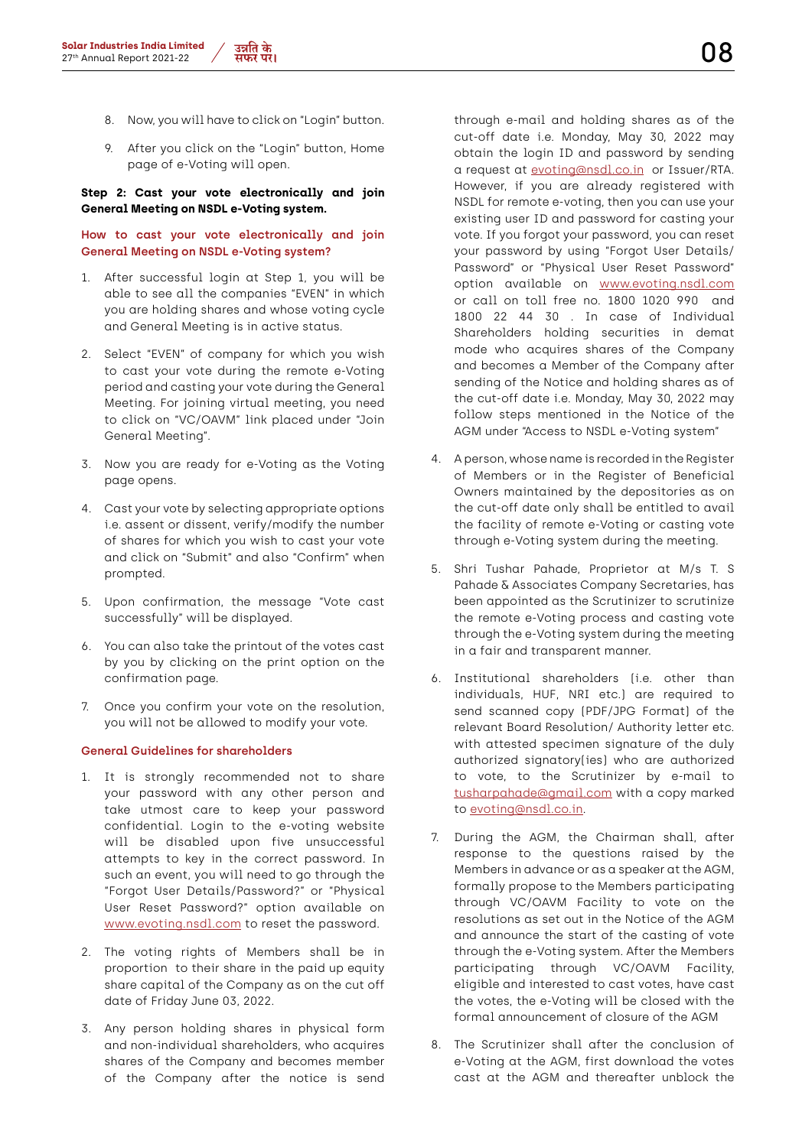- 8. Now, you will have to click on "Login" button.
- 9. After you click on the "Login" button, Home page of e-Voting will open.

## **Step 2: Cast your vote electronically and join General Meeting on NSDL e-Voting system.**

## **How to cast your vote electronically and join General Meeting on NSDL e-Voting system?**

- 1. After successful login at Step 1, you will be able to see all the companies "EVEN" in which you are holding shares and whose voting cycle and General Meeting is in active status.
- 2. Select "EVEN" of company for which you wish to cast your vote during the remote e-Voting period and casting your vote during the General Meeting. For joining virtual meeting, you need to click on "VC/OAVM" link placed under "Join General Meeting".
- 3. Now you are ready for e-Voting as the Voting page opens.
- 4. Cast your vote by selecting appropriate options i.e. assent or dissent, verify/modify the number of shares for which you wish to cast your vote and click on "Submit" and also "Confirm" when prompted.
- 5. Upon confirmation, the message "Vote cast successfully" will be displayed.
- 6. You can also take the printout of the votes cast by you by clicking on the print option on the confirmation page.
- 7. Once you confirm your vote on the resolution, you will not be allowed to modify your vote.

## **General Guidelines for shareholders**

- 1. It is strongly recommended not to share your password with any other person and take utmost care to keep your password confidential. Login to the e-voting website will be disabled upon five unsuccessful attempts to key in the correct password. In such an event, you will need to go through the "Forgot User Details/Password?" or "Physical User Reset Password?" option available on www.evoting.nsdl.com to reset the password.
- 2. The voting rights of Members shall be in proportion to their share in the paid up equity share capital of the Company as on the cut off date of Friday June 03, 2022.
- 3. Any person holding shares in physical form and non-individual shareholders, who acquires shares of the Company and becomes member of the Company after the notice is send

through e-mail and holding shares as of the cut-off date i.e. Monday, May 30, 2022 may obtain the login ID and password by sending a request at evoting@nsdl.co.in or Issuer/RTA. However, if you are already registered with NSDL for remote e-voting, then you can use your existing user ID and password for casting your vote. If you forgot your password, you can reset your password by using "Forgot User Details/ Password" or "Physical User Reset Password" option available on www.evoting.nsdl.com or call on toll free no. 1800 1020 990 and 1800 22 44 30 . In case of Individual Shareholders holding securities in demat mode who acquires shares of the Company and becomes a Member of the Company after sending of the Notice and holding shares as of the cut-off date i.e. Monday, May 30, 2022 may follow steps mentioned in the Notice of the AGM under "Access to NSDL e-Voting system"

- 4. A person, whose name is recorded in the Register of Members or in the Register of Beneficial Owners maintained by the depositories as on the cut-off date only shall be entitled to avail the facility of remote e-Voting or casting vote through e-Voting system during the meeting.
- 5. Shri Tushar Pahade, Proprietor at M/s T. S Pahade & Associates Company Secretaries, has been appointed as the Scrutinizer to scrutinize the remote e-Voting process and casting vote through the e-Voting system during the meeting in a fair and transparent manner.
- 6. Institutional shareholders (i.e. other than individuals, HUF, NRI etc.) are required to send scanned copy (PDF/JPG Format) of the relevant Board Resolution/ Authority letter etc. with attested specimen signature of the duly authorized signatory(ies) who are authorized to vote, to the Scrutinizer by e-mail to tusharpahade@gmail.com with a copy marked to evoting@nsdl.co.in.
- 7. During the AGM, the Chairman shall, after response to the questions raised by the Members in advance or as a speaker at the AGM, formally propose to the Members participating through VC/OAVM Facility to vote on the resolutions as set out in the Notice of the AGM and announce the start of the casting of vote through the e-Voting system. After the Members participating through VC/OAVM Facility, eligible and interested to cast votes, have cast the votes, the e-Voting will be closed with the formal announcement of closure of the AGM
- 8. The Scrutinizer shall after the conclusion of e-Voting at the AGM, first download the votes cast at the AGM and thereafter unblock the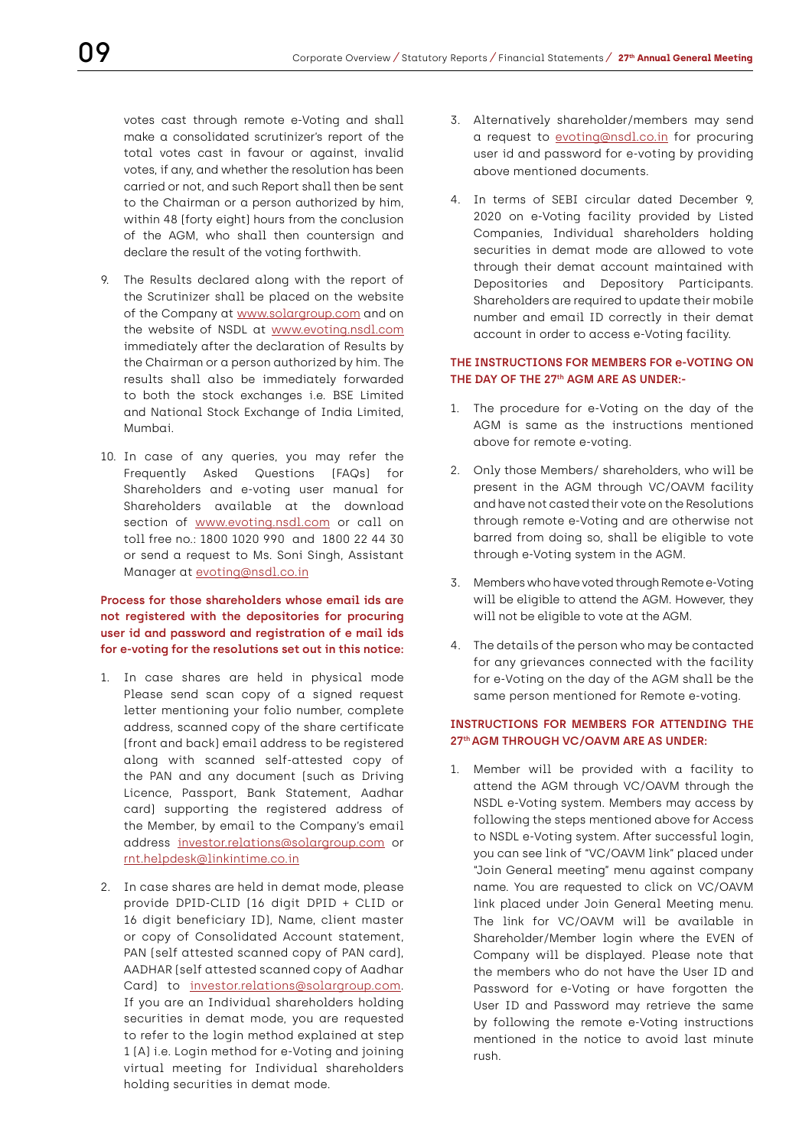votes cast through remote e-Voting and shall make a consolidated scrutinizer's report of the total votes cast in favour or against, invalid votes, if any, and whether the resolution has been carried or not, and such Report shall then be sent to the Chairman or a person authorized by him, within 48 (forty eight) hours from the conclusion of the AGM, who shall then countersign and declare the result of the voting forthwith.

- 9. The Results declared along with the report of the Scrutinizer shall be placed on the website of the Company at www.solargroup.com and on the website of NSDL at www.evoting.nsdl.com immediately after the declaration of Results by the Chairman or a person authorized by him. The results shall also be immediately forwarded to both the stock exchanges i.e. BSE Limited and National Stock Exchange of India Limited, Mumbai.
- 10. In case of any queries, you may refer the Frequently Asked Questions (FAQs) for Shareholders and e-voting user manual for Shareholders available at the download section of www.evoting.nsdl.com or call on toll free no.: 1800 1020 990 and 1800 22 44 30 or send a request to Ms. Soni Singh, Assistant Manager at evoting@nsdl.co.in

## **Process for those shareholders whose email ids are not registered with the depositories for procuring user id and password and registration of e mail ids for e-voting for the resolutions set out in this notice:**

- 1. In case shares are held in physical mode Please send scan copy of a signed request letter mentioning your folio number, complete address, scanned copy of the share certificate (front and back) email address to be registered along with scanned self-attested copy of the PAN and any document (such as Driving Licence, Passport, Bank Statement, Aadhar card) supporting the registered address of the Member, by email to the Company's email address investor.relations@solargroup.com or rnt.helpdesk@linkintime.co.in
- 2. In case shares are held in demat mode, please provide DPID-CLID (16 digit DPID + CLID or 16 digit beneficiary ID), Name, client master or copy of Consolidated Account statement, PAN (self attested scanned copy of PAN card), AADHAR (self attested scanned copy of Aadhar Card) to investor.relations@solargroup.com. If you are an Individual shareholders holding securities in demat mode, you are requested to refer to the login method explained at step 1 (A) i.e. Login method for e-Voting and joining virtual meeting for Individual shareholders holding securities in demat mode.
- 3. Alternatively shareholder/members may send a request to evoting@nsdl.co.in for procuring user id and password for e-voting by providing above mentioned documents.
- 4. In terms of SEBI circular dated December 9, 2020 on e-Voting facility provided by Listed Companies, Individual shareholders holding securities in demat mode are allowed to vote through their demat account maintained with Depositories and Depository Participants. Shareholders are required to update their mobile number and email ID correctly in their demat account in order to access e-Voting facility.

## **THE INSTRUCTIONS FOR MEMBERS FOR e-VOTING ON THE DAY OF THE 27th AGM ARE AS UNDER:-**

- 1. The procedure for e-Voting on the day of the AGM is same as the instructions mentioned above for remote e-voting.
- 2. Only those Members/ shareholders, who will be present in the AGM through VC/OAVM facility and have not casted their vote on the Resolutions through remote e-Voting and are otherwise not barred from doing so, shall be eligible to vote through e-Voting system in the AGM.
- 3. Members who have voted through Remote e-Voting will be eligible to attend the AGM. However, they will not be eligible to vote at the AGM.
- 4. The details of the person who may be contacted for any grievances connected with the facility for e-Voting on the day of the AGM shall be the same person mentioned for Remote e-voting.

## **INSTRUCTIONS FOR MEMBERS FOR ATTENDING THE 27th AGM THROUGH VC/OAVM ARE AS UNDER:**

1. Member will be provided with a facility to attend the AGM through VC/OAVM through the NSDL e-Voting system. Members may access by following the steps mentioned above for Access to NSDL e-Voting system. After successful login, you can see link of "VC/OAVM link" placed under "Join General meeting" menu against company name. You are requested to click on VC/OAVM link placed under Join General Meeting menu. The link for VC/OAVM will be available in Shareholder/Member login where the EVEN of Company will be displayed. Please note that the members who do not have the User ID and Password for e-Voting or have forgotten the User ID and Password may retrieve the same by following the remote e-Voting instructions mentioned in the notice to avoid last minute rush.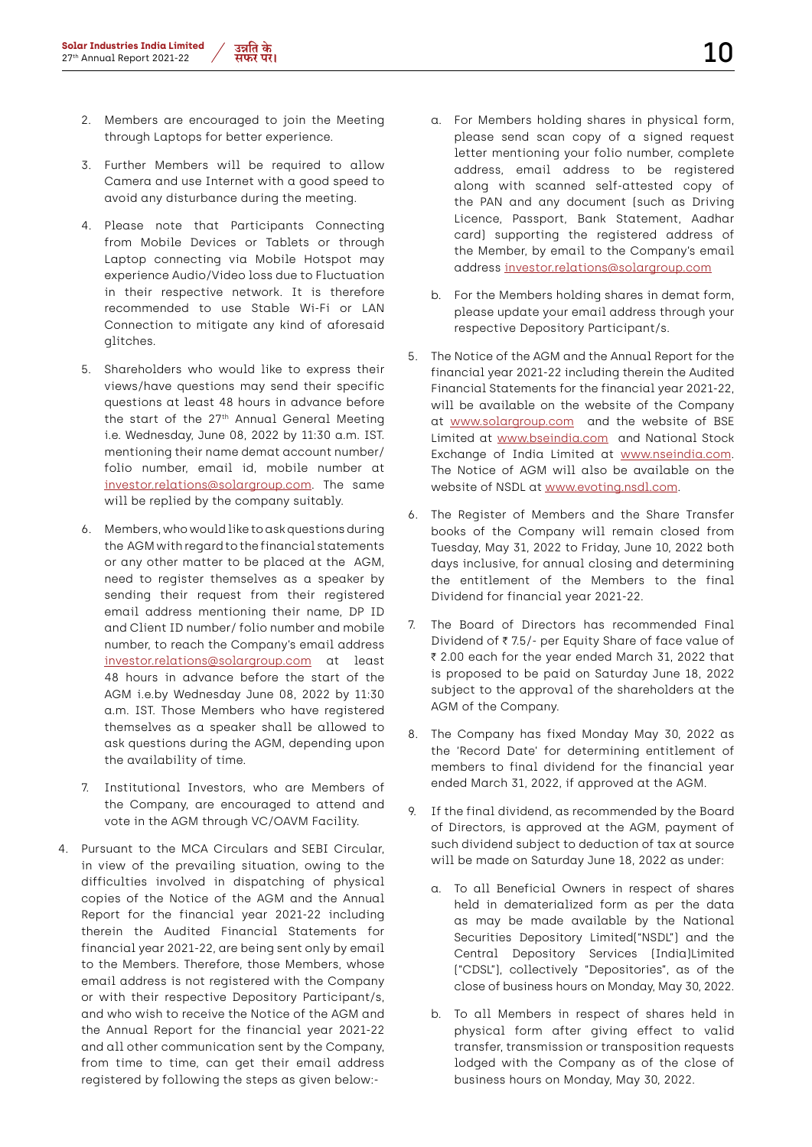- 3. Further Members will be required to allow Camera and use Internet with a good speed to avoid any disturbance during the meeting.
- 4. Please note that Participants Connecting from Mobile Devices or Tablets or through Laptop connecting via Mobile Hotspot may experience Audio/Video loss due to Fluctuation in their respective network. It is therefore recommended to use Stable Wi-Fi or LAN Connection to mitigate any kind of aforesaid glitches.
- 5. Shareholders who would like to express their views/have questions may send their specific questions at least 48 hours in advance before the start of the 27<sup>th</sup> Annual General Meeting i.e. Wednesday, June 08, 2022 by 11:30 a.m. IST. mentioning their name demat account number/ folio number, email id, mobile number at investor.relations@solargroup.com. The same will be replied by the company suitably.
- 6. Members, who would like to ask questions during the AGM with regard to the financial statements or any other matter to be placed at the AGM, need to register themselves as a speaker by sending their request from their registered email address mentioning their name, DP ID and Client ID number/ folio number and mobile number, to reach the Company's email address investor.relations@solargroup.com at least 48 hours in advance before the start of the AGM i.e.by Wednesday June 08, 2022 by 11:30 a.m. IST. Those Members who have registered themselves as a speaker shall be allowed to ask questions during the AGM, depending upon the availability of time.
- 7. Institutional Investors, who are Members of the Company, are encouraged to attend and vote in the AGM through VC/OAVM Facility.
- 4. Pursuant to the MCA Circulars and SEBI Circular, in view of the prevailing situation, owing to the difficulties involved in dispatching of physical copies of the Notice of the AGM and the Annual Report for the financial year 2021-22 including therein the Audited Financial Statements for financial year 2021-22, are being sent only by email to the Members. Therefore, those Members, whose email address is not registered with the Company or with their respective Depository Participant/s, and who wish to receive the Notice of the AGM and the Annual Report for the financial year 2021-22 and all other communication sent by the Company, from time to time, can get their email address registered by following the steps as given below:-
- a. For Members holding shares in physical form, please send scan copy of a signed request letter mentioning your folio number, complete address, email address to be registered along with scanned self-attested copy of the PAN and any document (such as Driving Licence, Passport, Bank Statement, Aadhar card) supporting the registered address of the Member, by email to the Company's email address investor.relations@solargroup.com
- b. For the Members holding shares in demat form, please update your email address through your respective Depository Participant/s.
- 5. The Notice of the AGM and the Annual Report for the financial year 2021-22 including therein the Audited Financial Statements for the financial year 2021-22, will be available on the website of the Company at www.solargroup.com and the website of BSE Limited at www.bseindia.com and National Stock Exchange of India Limited at www.nseindia.com. The Notice of AGM will also be available on the website of NSDL at www.evoting.nsdl.com.
- 6. The Register of Members and the Share Transfer books of the Company will remain closed from Tuesday, May 31, 2022 to Friday, June 10, 2022 both days inclusive, for annual closing and determining the entitlement of the Members to the final Dividend for financial year 2021-22.
- 7. The Board of Directors has recommended Final Dividend of  $\bar{z}$  7.5/- per Equity Share of face value of ₹ 2.00 each for the year ended March 31, 2022 that is proposed to be paid on Saturday June 18, 2022 subject to the approval of the shareholders at the AGM of the Company.
- 8. The Company has fixed Monday May 30, 2022 as the 'Record Date' for determining entitlement of members to final dividend for the financial year ended March 31, 2022, if approved at the AGM.
- 9. If the final dividend, as recommended by the Board of Directors, is approved at the AGM, payment of such dividend subject to deduction of tax at source will be made on Saturday June 18, 2022 as under:
	- a. To all Beneficial Owners in respect of shares held in dematerialized form as per the data as may be made available by the National Securities Depository Limited("NSDL") and the Central Depository Services (India)Limited ("CDSL"), collectively "Depositories", as of the close of business hours on Monday, May 30, 2022.
	- b. To all Members in respect of shares held in physical form after giving effect to valid transfer, transmission or transposition requests lodged with the Company as of the close of business hours on Monday, May 30, 2022.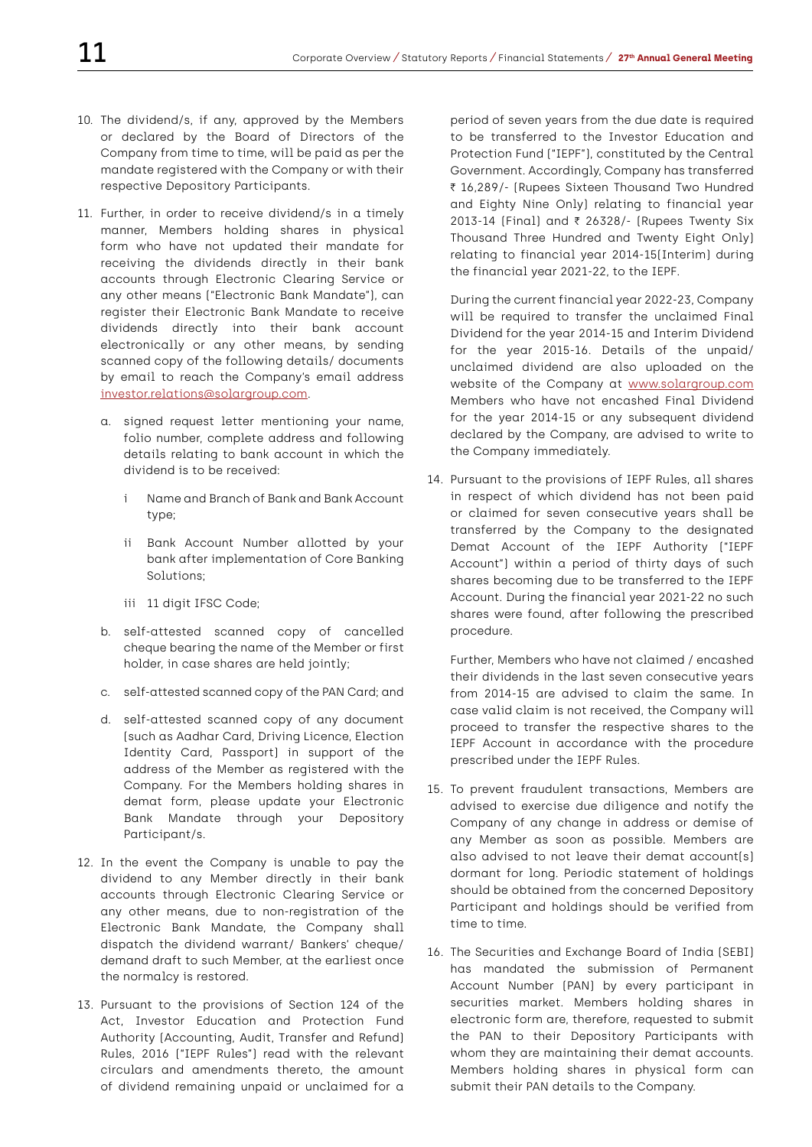- 10. The dividend/s, if any, approved by the Members or declared by the Board of Directors of the Company from time to time, will be paid as per the mandate registered with the Company or with their respective Depository Participants.
- 11. Further, in order to receive dividend/s in a timely manner, Members holding shares in physical form who have not updated their mandate for receiving the dividends directly in their bank accounts through Electronic Clearing Service or any other means ("Electronic Bank Mandate"), can register their Electronic Bank Mandate to receive dividends directly into their bank account electronically or any other means, by sending scanned copy of the following details/ documents by email to reach the Company's email address investor.relations@solargroup.com.
	- a. signed request letter mentioning your name, folio number, complete address and following details relating to bank account in which the dividend is to be received:
		- i Name and Branch of Bank and Bank Account type;
		- ii Bank Account Number allotted by your bank after implementation of Core Banking Solutions;
		- iii 11 digit IFSC Code;
	- b. self-attested scanned copy of cancelled cheque bearing the name of the Member or first holder, in case shares are held jointly;
	- c. self-attested scanned copy of the PAN Card; and
	- d. self-attested scanned copy of any document (such as Aadhar Card, Driving Licence, Election Identity Card, Passport) in support of the address of the Member as registered with the Company. For the Members holding shares in demat form, please update your Electronic Bank Mandate through your Depository Participant/s.
- 12. In the event the Company is unable to pay the dividend to any Member directly in their bank accounts through Electronic Clearing Service or any other means, due to non-registration of the Electronic Bank Mandate, the Company shall dispatch the dividend warrant/ Bankers' cheque/ demand draft to such Member, at the earliest once the normalcy is restored.
- 13. Pursuant to the provisions of Section 124 of the Act, Investor Education and Protection Fund Authority (Accounting, Audit, Transfer and Refund) Rules, 2016 ("IEPF Rules") read with the relevant circulars and amendments thereto, the amount of dividend remaining unpaid or unclaimed for a

period of seven years from the due date is required to be transferred to the Investor Education and Protection Fund ("IEPF"), constituted by the Central Government. Accordingly, Company has transferred ₹ 16,289/- (Rupees Sixteen Thousand Two Hundred and Eighty Nine Only) relating to financial year 2013-14 (Final) and ₹ 26328/- (Rupees Twenty Six Thousand Three Hundred and Twenty Eight Only) relating to financial year 2014-15(Interim) during the financial year 2021-22, to the IEPF.

During the current financial year 2022-23, Company will be required to transfer the unclaimed Final Dividend for the year 2014-15 and Interim Dividend for the year 2015-16. Details of the unpaid/ unclaimed dividend are also uploaded on the website of the Company at www.solargroup.com Members who have not encashed Final Dividend for the year 2014-15 or any subsequent dividend declared by the Company, are advised to write to the Company immediately.

14. Pursuant to the provisions of IEPF Rules, all shares in respect of which dividend has not been paid or claimed for seven consecutive years shall be transferred by the Company to the designated Demat Account of the IEPF Authority ("IEPF Account") within a period of thirty days of such shares becoming due to be transferred to the IEPF Account. During the financial year 2021-22 no such shares were found, after following the prescribed procedure.

Further, Members who have not claimed / encashed their dividends in the last seven consecutive years from 2014-15 are advised to claim the same. In case valid claim is not received, the Company will proceed to transfer the respective shares to the IEPF Account in accordance with the procedure prescribed under the IEPF Rules.

- 15. To prevent fraudulent transactions, Members are advised to exercise due diligence and notify the Company of any change in address or demise of any Member as soon as possible. Members are also advised to not leave their demat account(s) dormant for long. Periodic statement of holdings should be obtained from the concerned Depository Participant and holdings should be verified from time to time.
- 16. The Securities and Exchange Board of India (SEBI) has mandated the submission of Permanent Account Number (PAN) by every participant in securities market. Members holding shares in electronic form are, therefore, requested to submit the PAN to their Depository Participants with whom they are maintaining their demat accounts. Members holding shares in physical form can submit their PAN details to the Company.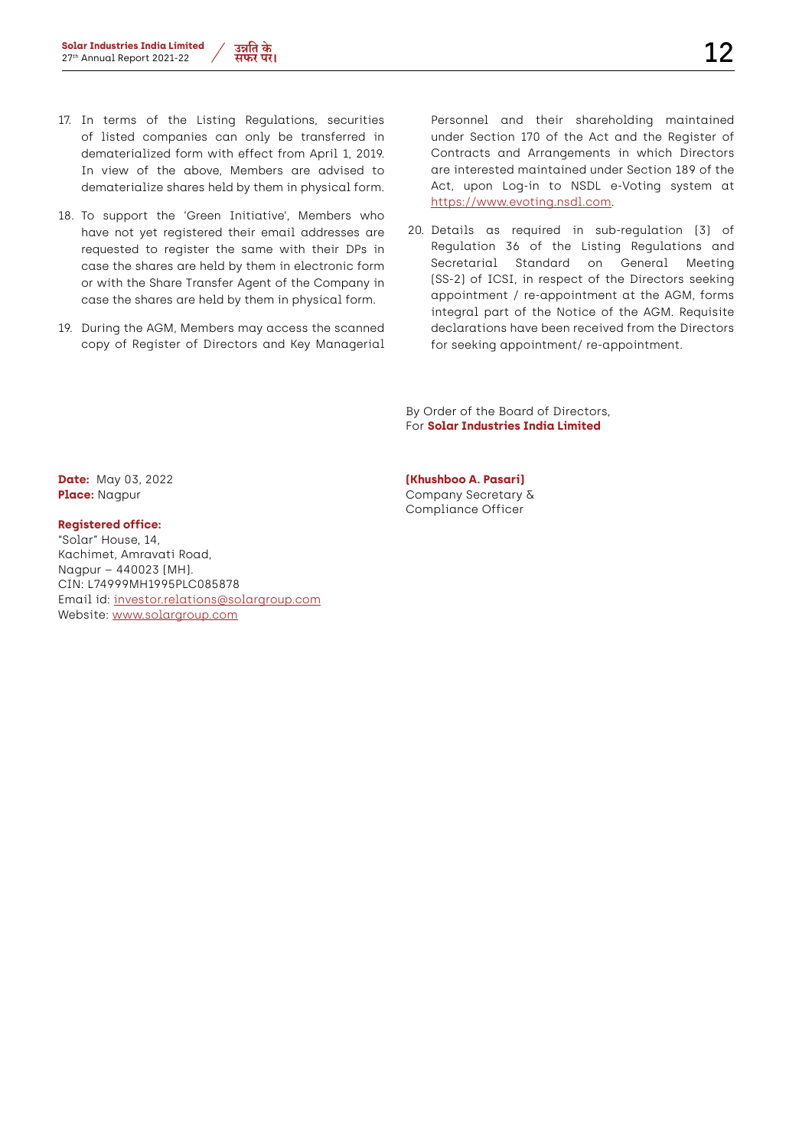- 17. In terms of the Listing Regulations, securities of listed companies can only be transferred in dematerialized form with effect from April 1, 2019. In view of the above, Members are advised to dematerialize shares held by them in physical form.
- 18. To support the 'Green Initiative', Members who have not yet registered their email addresses are requested to register the same with their DPs in case the shares are held by them in electronic form or with the Share Transfer Agent of the Company in case the shares are held by them in physical form.
- 19. During the AGM, Members may access the scanned copy of Register of Directors and Key Managerial

Personnel and their shareholding maintained under Section 170 of the Act and the Register of Contracts and Arrangements in which Directors are interested maintained under Section 189 of the Act, upon Log-in to NSDL e-Voting system at https://www.evoting.nsdl.com.

20. Details as required in sub-regulation (3) of Regulation 36 of the Listing Regulations and Secretarial Standard on General Meeting (SS-2) of ICSI, in respect of the Directors seeking appointment / re-appointment at the AGM, forms integral part of the Notice of the AGM. Requisite declarations have been received from the Directors for seeking appointment/ re-appointment.

By Order of the Board of Directors, For **Solar Industries India Limited**

## **Registered office:**

"Solar" House, 14, Kachimet, Amravati Road, Nagpur – 440023 (MH). CIN: L74999MH1995PLC085878 Email id: investor.relations@solargroup.com Website: www.solargroup.com

**Date:** May 03, 2022 **(Khushboo A. Pasari) Place:** Nagpur **Company Secretary &** Compliance Officer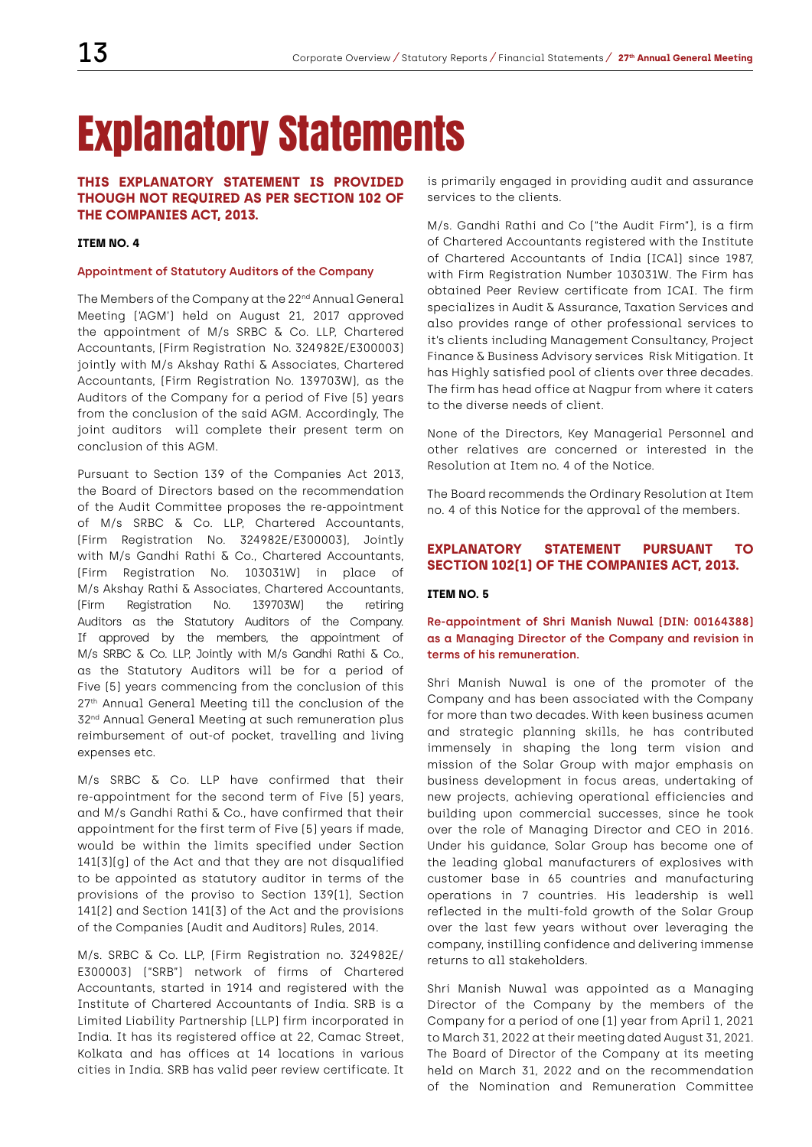## Explanatory Statements

## **THIS EXPLANATORY STATEMENT IS PROVIDED THOUGH NOT REQUIRED AS PER SECTION 102 OF THE COMPANIES ACT, 2013.**

#### **ITEM NO. 4**

#### **Appointment of Statutory Auditors of the Company**

The Members of the Company at the 22<sup>nd</sup> Annual General Meeting ('AGM') held on August 21, 2017 approved the appointment of M/s SRBC & Co. LLP, Chartered Accountants, (Firm Registration No. 324982E/E300003) jointly with M/s Akshay Rathi & Associates, Chartered Accountants, (Firm Registration No. 139703W), as the Auditors of the Company for a period of Five (5) years from the conclusion of the said AGM. Accordingly, The joint auditors will complete their present term on conclusion of this AGM.

Pursuant to Section 139 of the Companies Act 2013, the Board of Directors based on the recommendation of the Audit Committee proposes the re-appointment of M/s SRBC & Co. LLP, Chartered Accountants, (Firm Registration No. 324982E/E300003), Jointly with M/s Gandhi Rathi & Co., Chartered Accountants, (Firm Registration No. 103031W) in place of M/s Akshay Rathi & Associates, Chartered Accountants, (Firm Registration No. 139703W) the retiring Auditors as the Statutory Auditors of the Company. If approved by the members, the appointment of M/s SRBC & Co. LLP, Jointly with M/s Gandhi Rathi & Co., as the Statutory Auditors will be for a period of Five (5) years commencing from the conclusion of this 27<sup>th</sup> Annual General Meeting till the conclusion of the 32nd Annual General Meeting at such remuneration plus reimbursement of out-of pocket, travelling and living expenses etc.

M/s SRBC & Co. LLP have confirmed that their re-appointment for the second term of Five (5) years, and M/s Gandhi Rathi & Co., have confirmed that their appointment for the first term of Five (5) years if made, would be within the limits specified under Section 141(3)(g) of the Act and that they are not disqualified to be appointed as statutory auditor in terms of the provisions of the proviso to Section 139(1), Section 141(2) and Section 141(3) of the Act and the provisions of the Companies (Audit and Auditors) Rules, 2014.

M/s. SRBC & Co. LLP, (Firm Registration no. 324982E/ E300003) ("SRB") network of firms of Chartered Accountants, started in 1914 and registered with the Institute of Chartered Accountants of India. SRB is a Limited Liability Partnership (LLP) firm incorporated in India. It has its registered office at 22, Camac Street, Kolkata and has offices at 14 locations in various cities in India. SRB has valid peer review certificate. It

is primarily engaged in providing audit and assurance services to the clients.

M/s. Gandhi Rathi and Co ("the Audit Firm"), is a firm of Chartered Accountants registered with the Institute of Chartered Accountants of India (ICAl) since 1987, with Firm Registration Number 103031W. The Firm has obtained Peer Review certificate from ICAI. The firm specializes in Audit & Assurance, Taxation Services and also provides range of other professional services to it's clients including Management Consultancy, Project Finance & Business Advisory services Risk Mitigation. It has Highly satisfied pool of clients over three decades. The firm has head office at Nagpur from where it caters to the diverse needs of client.

None of the Directors, Key Managerial Personnel and other relatives are concerned or interested in the Resolution at Item no. 4 of the Notice.

The Board recommends the Ordinary Resolution at Item no. 4 of this Notice for the approval of the members.

## **EXPLANATORY STATEMENT PURSUANT TO SECTION 102(1) OF THE COMPANIES ACT, 2013.**

#### **ITEM NO. 5**

## **Re-appointment of Shri Manish Nuwal (DIN: 00164388) as a Managing Director of the Company and revision in terms of his remuneration.**

Shri Manish Nuwal is one of the promoter of the Company and has been associated with the Company for more than two decades. With keen business acumen and strategic planning skills, he has contributed immensely in shaping the long term vision and mission of the Solar Group with major emphasis on business development in focus areas, undertaking of new projects, achieving operational efficiencies and building upon commercial successes, since he took over the role of Managing Director and CEO in 2016. Under his guidance, Solar Group has become one of the leading global manufacturers of explosives with customer base in 65 countries and manufacturing operations in 7 countries. His leadership is well reflected in the multi-fold growth of the Solar Group over the last few years without over leveraging the company, instilling confidence and delivering immense returns to all stakeholders.

Shri Manish Nuwal was appointed as a Managing Director of the Company by the members of the Company for a period of one (1) year from April 1, 2021 to March 31, 2022 at their meeting dated August 31, 2021. The Board of Director of the Company at its meeting held on March 31, 2022 and on the recommendation of the Nomination and Remuneration Committee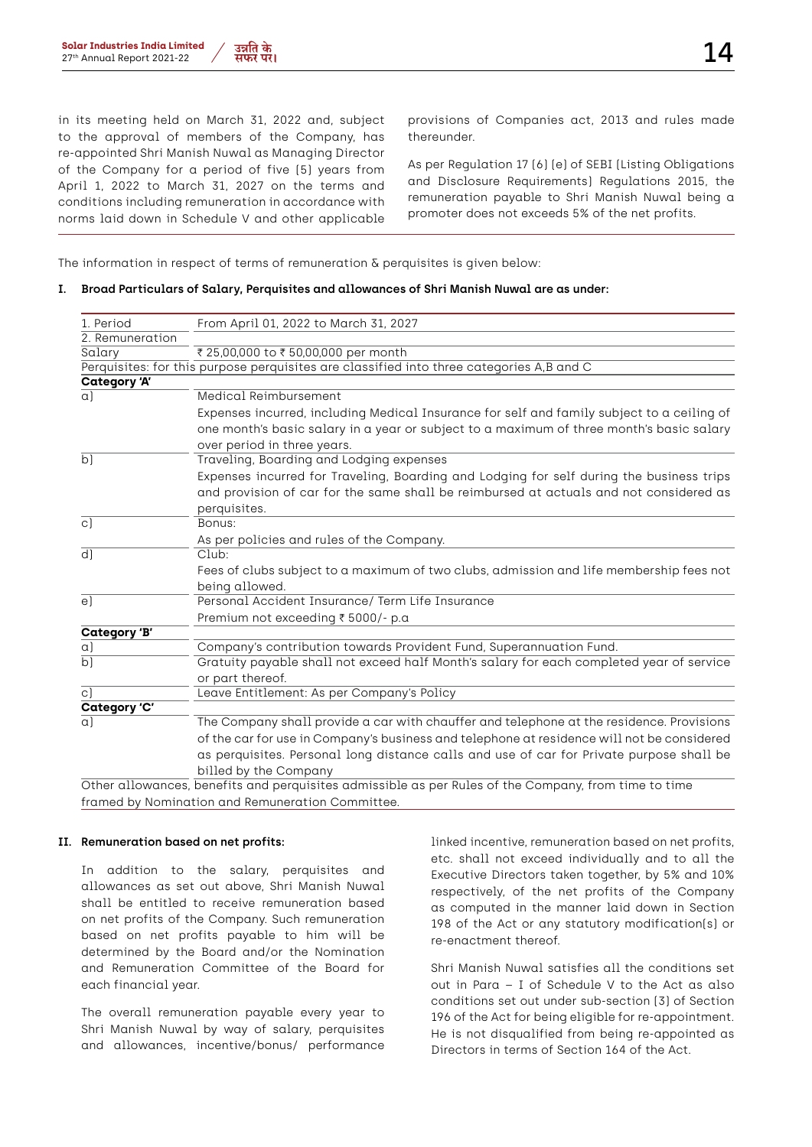

in its meeting held on March 31, 2022 and, subject to the approval of members of the Company, has re-appointed Shri Manish Nuwal as Managing Director of the Company for a period of five (5) years from April 1, 2022 to March 31, 2027 on the terms and conditions including remuneration in accordance with norms laid down in Schedule V and other applicable

provisions of Companies act, 2013 and rules made thereunder.

As per Regulation 17 (6) (e) of SEBI (Listing Obligations and Disclosure Requirements) Regulations 2015, the remuneration payable to Shri Manish Nuwal being a promoter does not exceeds 5% of the net profits.

The information in respect of terms of remuneration  $\delta$  perquisites is given below:

#### **I. Broad Particulars of Salary, Perquisites and allowances of Shri Manish Nuwal are as under:**

| 1. Period           | From April 01, 2022 to March 31, 2027                                                                |
|---------------------|------------------------------------------------------------------------------------------------------|
| 2. Remuneration     |                                                                                                      |
| Salary              | ₹ 25,00,000 to ₹ 50,00,000 per month                                                                 |
|                     | Perquisites: for this purpose perquisites are classified into three categories A,B and C             |
| <b>Category 'A'</b> |                                                                                                      |
| $\alpha$            | Medical Reimbursement                                                                                |
|                     | Expenses incurred, including Medical Insurance for self and family subject to a ceiling of           |
|                     | one month's basic salary in a year or subject to a maximum of three month's basic salary             |
|                     | over period in three years.                                                                          |
| $\overline{b}$      | Traveling, Boarding and Lodging expenses                                                             |
|                     | Expenses incurred for Traveling, Boarding and Lodging for self during the business trips             |
|                     | and provision of car for the same shall be reimbursed at actuals and not considered as               |
|                     | perquisites.                                                                                         |
| $\circ$ )           | Bonus:                                                                                               |
|                     | As per policies and rules of the Company.                                                            |
| $d$ ]               | Club:                                                                                                |
|                     | Fees of clubs subject to a maximum of two clubs, admission and life membership fees not              |
|                     | being allowed.                                                                                       |
| e)                  | Personal Accident Insurance/ Term Life Insurance                                                     |
|                     | Premium not exceeding ₹ 5000/- p.a                                                                   |
| <b>Category 'B'</b> |                                                                                                      |
| a)                  | Company's contribution towards Provident Fund, Superannuation Fund.                                  |
| b)                  | Gratuity payable shall not exceed half Month's salary for each completed year of service             |
|                     | or part thereof.                                                                                     |
| $\overline{c}$ ]    | Leave Entitlement: As per Company's Policy                                                           |
| Category 'C'        |                                                                                                      |
| $\alpha$            | The Company shall provide a car with chauffer and telephone at the residence. Provisions             |
|                     | of the car for use in Company's business and telephone at residence will not be considered           |
|                     | as perquisites. Personal long distance calls and use of car for Private purpose shall be             |
|                     | billed by the Company                                                                                |
|                     | Other allowances, benefits and perquisites admissible as per Rules of the Company, from time to time |

framed by Nomination and Remuneration Committee.

#### **II. Remuneration based on net profits:**

In addition to the salary, perquisites and allowances as set out above, Shri Manish Nuwal shall be entitled to receive remuneration based on net profits of the Company. Such remuneration based on net profits payable to him will be determined by the Board and/or the Nomination and Remuneration Committee of the Board for each financial year.

The overall remuneration payable every year to Shri Manish Nuwal by way of salary, perquisites and allowances, incentive/bonus/ performance

linked incentive, remuneration based on net profits, etc. shall not exceed individually and to all the Executive Directors taken together, by 5% and 10% respectively, of the net profits of the Company as computed in the manner laid down in Section 198 of the Act or any statutory modification(s) or re-enactment thereof.

Shri Manish Nuwal satisfies all the conditions set out in Para – I of Schedule V to the Act as also conditions set out under sub-section (3) of Section 196 of the Act for being eligible for re-appointment. He is not disqualified from being re-appointed as Directors in terms of Section 164 of the Act.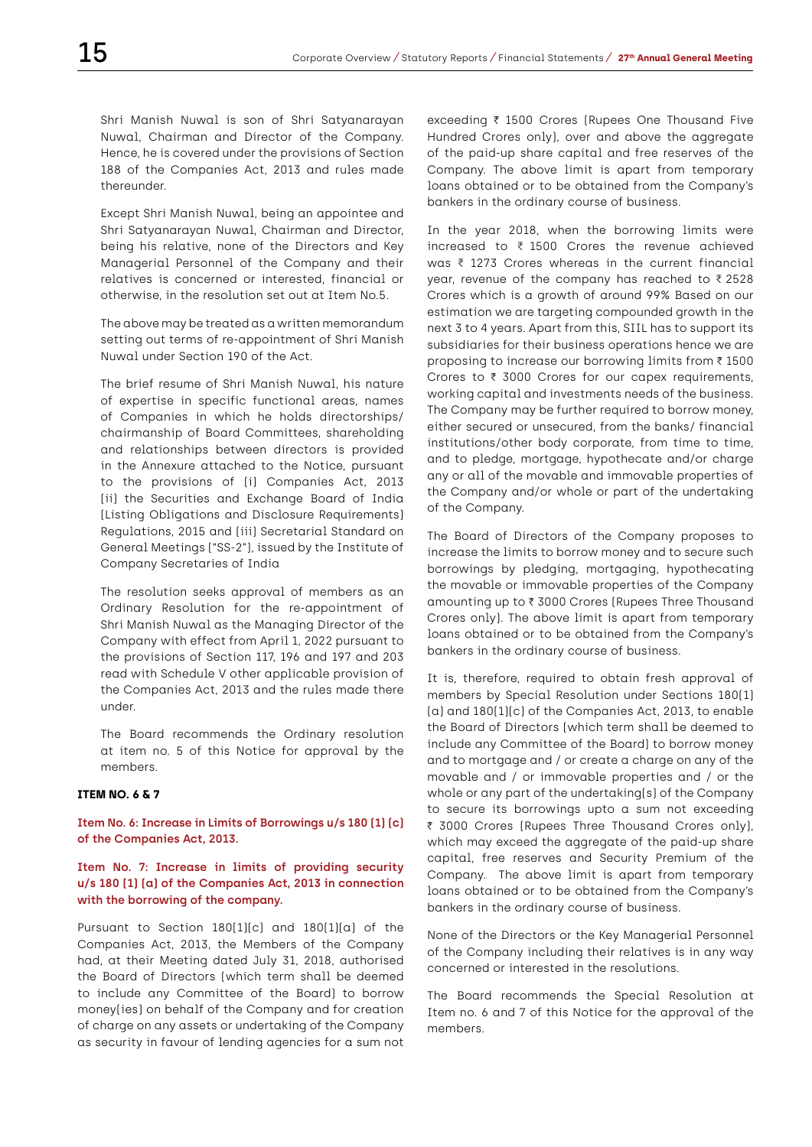Shri Manish Nuwal is son of Shri Satyanarayan Nuwal, Chairman and Director of the Company. Hence, he is covered under the provisions of Section 188 of the Companies Act, 2013 and rules made thereunder.

Except Shri Manish Nuwal, being an appointee and Shri Satyanarayan Nuwal, Chairman and Director, being his relative, none of the Directors and Key Managerial Personnel of the Company and their relatives is concerned or interested, financial or otherwise, in the resolution set out at Item No.5.

The above may be treated as a written memorandum setting out terms of re-appointment of Shri Manish Nuwal under Section 190 of the Act.

The brief resume of Shri Manish Nuwal, his nature of expertise in specific functional areas, names of Companies in which he holds directorships/ chairmanship of Board Committees, shareholding and relationships between directors is provided in the Annexure attached to the Notice, pursuant to the provisions of (i) Companies Act, 2013 (ii) the Securities and Exchange Board of India (Listing Obligations and Disclosure Requirements) Regulations, 2015 and (iii) Secretarial Standard on General Meetings ("SS-2"), issued by the Institute of Company Secretaries of India

The resolution seeks approval of members as an Ordinary Resolution for the re-appointment of Shri Manish Nuwal as the Managing Director of the Company with effect from April 1, 2022 pursuant to the provisions of Section 117, 196 and 197 and 203 read with Schedule V other applicable provision of the Companies Act, 2013 and the rules made there under.

The Board recommends the Ordinary resolution at item no. 5 of this Notice for approval by the members.

#### **ITEM NO. 6 & 7**

**Item No. 6: Increase in Limits of Borrowings u/s 180 (1) (c) of the Companies Act, 2013.**

## **Item No. 7: Increase in limits of providing security u/s 180 (1) (a) of the Companies Act, 2013 in connection with the borrowing of the company.**

Pursuant to Section 180(1)(c) and 180(1)(a) of the Companies Act, 2013, the Members of the Company had, at their Meeting dated July 31, 2018, authorised the Board of Directors (which term shall be deemed to include any Committee of the Board) to borrow money(ies) on behalf of the Company and for creation of charge on any assets or undertaking of the Company as security in favour of lending agencies for a sum not

exceeding ₹ 1500 Crores (Rupees One Thousand Five Hundred Crores only), over and above the aggregate of the paid-up share capital and free reserves of the Company. The above limit is apart from temporary loans obtained or to be obtained from the Company's bankers in the ordinary course of business.

In the year 2018, when the borrowing limits were increased to  $\bar{\tau}$  1500 Crores the revenue achieved was  $\bar{\tau}$  1273 Crores whereas in the current financial vear, revenue of the company has reached to  $\bar{\tau}$  2528 Crores which is a growth of around 99% Based on our estimation we are targeting compounded growth in the next 3 to 4 years. Apart from this, SIIL has to support its subsidiaries for their business operations hence we are proposing to increase our borrowing limits from  $\bar{\tau}$  1500 Crores to  $\bar{\tau}$  3000 Crores for our capex requirements, working capital and investments needs of the business. The Company may be further required to borrow money, either secured or unsecured, from the banks/ financial institutions/other body corporate, from time to time, and to pledge, mortgage, hypothecate and/or charge any or all of the movable and immovable properties of the Company and/or whole or part of the undertaking of the Company.

The Board of Directors of the Company proposes to increase the limits to borrow money and to secure such borrowings by pledging, mortgaging, hypothecating the movable or immovable properties of the Company amounting up to ₹ 3000 Crores (Rupees Three Thousand Crores only). The above limit is apart from temporary loans obtained or to be obtained from the Company's bankers in the ordinary course of business.

It is, therefore, required to obtain fresh approval of members by Special Resolution under Sections 180(1) (a) and 180(1)(c) of the Companies Act, 2013, to enable the Board of Directors (which term shall be deemed to include any Committee of the Board) to borrow money and to mortgage and / or create a charge on any of the movable and / or immovable properties and / or the whole or any part of the undertaking(s) of the Company to secure its borrowings upto a sum not exceeding ₹ 3000 Crores (Rupees Three Thousand Crores only), which may exceed the aggregate of the paid-up share capital, free reserves and Security Premium of the Company. The above limit is apart from temporary loans obtained or to be obtained from the Company's bankers in the ordinary course of business.

None of the Directors or the Key Managerial Personnel of the Company including their relatives is in any way concerned or interested in the resolutions.

The Board recommends the Special Resolution at Item no. 6 and 7 of this Notice for the approval of the members.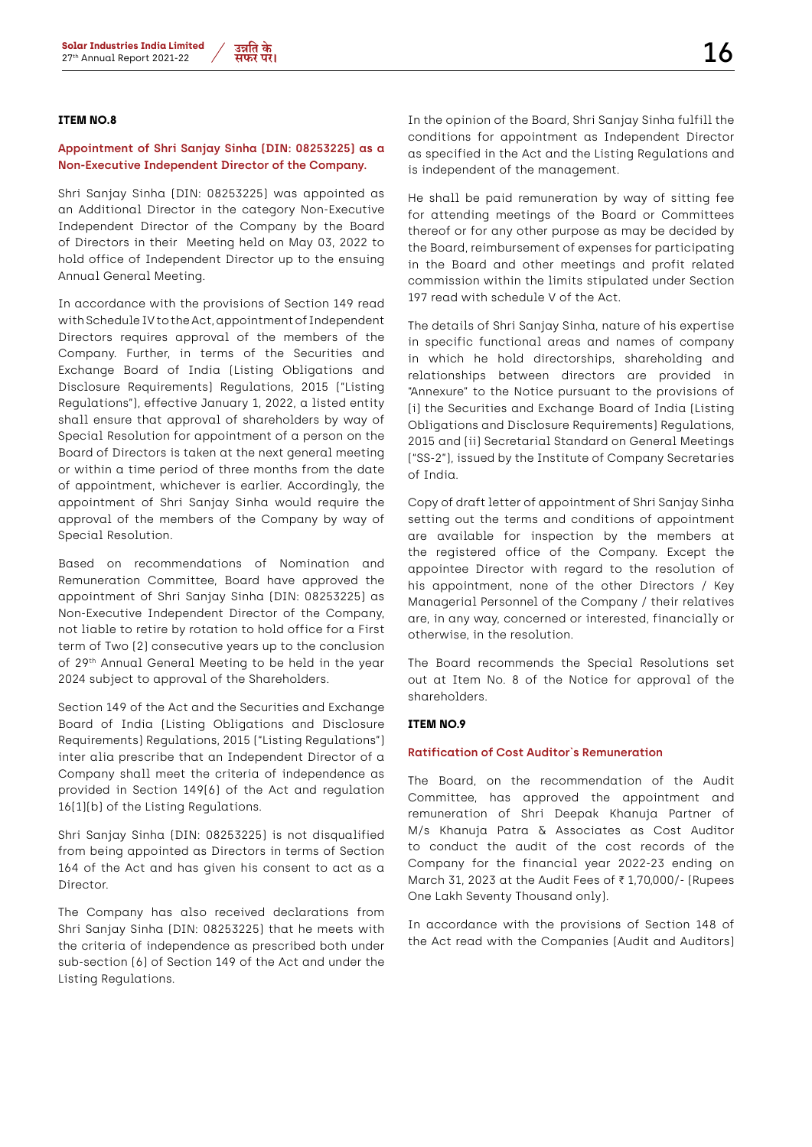## **ITEM NO.8**

## **Appointment of Shri Sanjay Sinha (DIN: 08253225) as a Non-Executive Independent Director of the Company.**

Shri Sanjay Sinha (DIN: 08253225) was appointed as an Additional Director in the category Non-Executive Independent Director of the Company by the Board of Directors in their Meeting held on May 03, 2022 to hold office of Independent Director up to the ensuing Annual General Meeting.

In accordance with the provisions of Section 149 read with Schedule IV to the Act, appointment of Independent Directors requires approval of the members of the Company. Further, in terms of the Securities and Exchange Board of India (Listing Obligations and Disclosure Requirements) Regulations, 2015 ("Listing Regulations"), effective January 1, 2022, a listed entity shall ensure that approval of shareholders by way of Special Resolution for appointment of a person on the Board of Directors is taken at the next general meeting or within a time period of three months from the date of appointment, whichever is earlier. Accordingly, the appointment of Shri Sanjay Sinha would require the approval of the members of the Company by way of Special Resolution.

Based on recommendations of Nomination and Remuneration Committee, Board have approved the appointment of Shri Sanjay Sinha (DIN: 08253225) as Non-Executive Independent Director of the Company, not liable to retire by rotation to hold office for a First term of Two (2) consecutive years up to the conclusion of 29th Annual General Meeting to be held in the year 2024 subject to approval of the Shareholders.

Section 149 of the Act and the Securities and Exchange Board of India (Listing Obligations and Disclosure Requirements) Regulations, 2015 ("Listing Regulations") inter alia prescribe that an Independent Director of a Company shall meet the criteria of independence as provided in Section 149(6) of the Act and regulation 16(1)(b) of the Listing Regulations.

Shri Sanjay Sinha (DIN: 08253225) is not disqualified from being appointed as Directors in terms of Section 164 of the Act and has given his consent to act as a **Director** 

The Company has also received declarations from Shri Sanjay Sinha (DIN: 08253225) that he meets with the criteria of independence as prescribed both under sub-section (6) of Section 149 of the Act and under the Listing Regulations.

In the opinion of the Board, Shri Sanjay Sinha fulfill the conditions for appointment as Independent Director as specified in the Act and the Listing Regulations and is independent of the management.

He shall be paid remuneration by way of sitting fee for attending meetings of the Board or Committees thereof or for any other purpose as may be decided by the Board, reimbursement of expenses for participating in the Board and other meetings and profit related commission within the limits stipulated under Section 197 read with schedule V of the Act.

The details of Shri Sanjay Sinha, nature of his expertise in specific functional areas and names of company in which he hold directorships, shareholding and relationships between directors are provided in "Annexure" to the Notice pursuant to the provisions of (i) the Securities and Exchange Board of India (Listing Obligations and Disclosure Requirements) Regulations, 2015 and (ii) Secretarial Standard on General Meetings ("SS-2"), issued by the Institute of Company Secretaries of India.

Copy of draft letter of appointment of Shri Sanjay Sinha setting out the terms and conditions of appointment are available for inspection by the members at the registered office of the Company. Except the appointee Director with regard to the resolution of his appointment, none of the other Directors / Key Managerial Personnel of the Company / their relatives are, in any way, concerned or interested, financially or otherwise, in the resolution.

The Board recommends the Special Resolutions set out at Item No. 8 of the Notice for approval of the shareholders.

## **ITEM NO.9**

#### **Ratification of Cost Auditor`s Remuneration**

The Board, on the recommendation of the Audit Committee, has approved the appointment and remuneration of Shri Deepak Khanuja Partner of M/s Khanuja Patra & Associates as Cost Auditor to conduct the audit of the cost records of the Company for the financial year 2022-23 ending on March 31, 2023 at the Audit Fees of  $\bar{\tau}$  1,70,000/- (Rupees One Lakh Seventy Thousand only).

In accordance with the provisions of Section 148 of the Act read with the Companies (Audit and Auditors)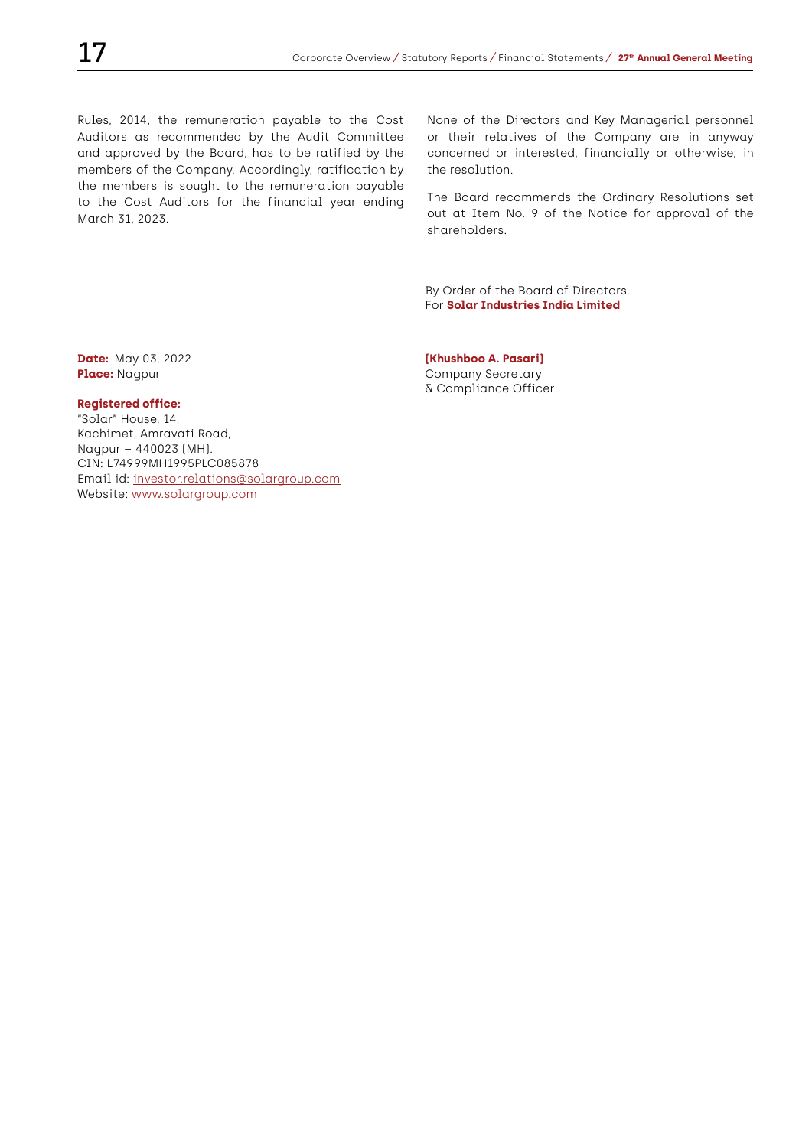Rules, 2014, the remuneration payable to the Cost Auditors as recommended by the Audit Committee and approved by the Board, has to be ratified by the members of the Company. Accordingly, ratification by the members is sought to the remuneration payable to the Cost Auditors for the financial year ending March 31, 2023.

None of the Directors and Key Managerial personnel or their relatives of the Company are in anyway concerned or interested, financially or otherwise, in the resolution.

The Board recommends the Ordinary Resolutions set out at Item No. 9 of the Notice for approval of the shareholders.

By Order of the Board of Directors, For **Solar Industries India Limited**

#### **Registered office:**

"Solar" House, 14, Kachimet, Amravati Road, Nagpur – 440023 (MH). CIN: L74999MH1995PLC085878 Email id: investor.relations@solargroup.com Website: www.solargroup.com

**Date:** May 03, 2022 **(Khushboo A. Pasari)** Place: Nagpur **Place:** Nagpur Company Secretary & Compliance Officer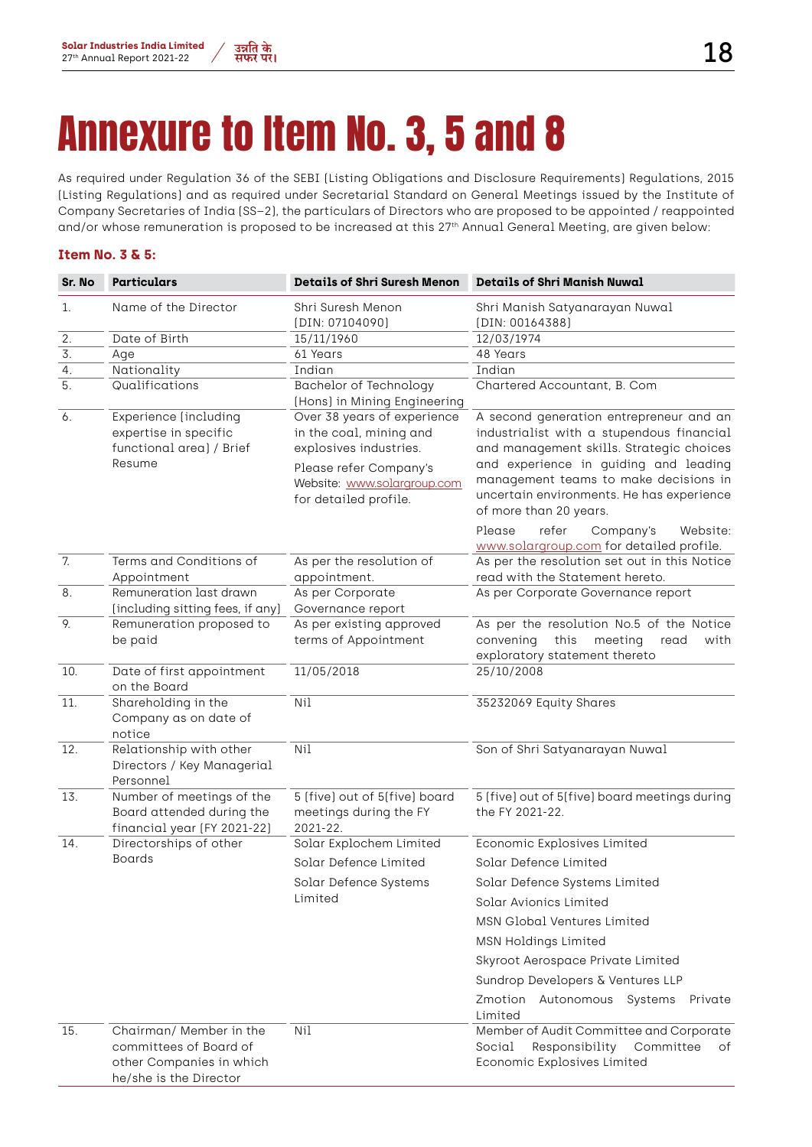# Annexure to Item No. 3, 5 and 8

As required under Regulation 36 of the SEBI (Listing Obligations and Disclosure Requirements) Regulations, 2015 (Listing Regulations) and as required under Secretarial Standard on General Meetings issued by the Institute of Company Secretaries of India (SS–2), the particulars of Directors who are proposed to be appointed / reappointed and/or whose remuneration is proposed to be increased at this 27<sup>th</sup> Annual General Meeting, are given below:

## **Item No. 3 & 5:**

| Sr. No | <b>Particulars</b>                                                                                      | <b>Details of Shri Suresh Menon</b>                                                                                                                                | <b>Details of Shri Manish Nuwal</b>                                                                                                                                                                                                                                                       |
|--------|---------------------------------------------------------------------------------------------------------|--------------------------------------------------------------------------------------------------------------------------------------------------------------------|-------------------------------------------------------------------------------------------------------------------------------------------------------------------------------------------------------------------------------------------------------------------------------------------|
| 1.     | Name of the Director                                                                                    | Shri Suresh Menon<br>(DIN: 07104090)                                                                                                                               | Shri Manish Satyanarayan Nuwal<br>[DIN: 00164388]                                                                                                                                                                                                                                         |
| 2.     | Date of Birth                                                                                           | 15/11/1960                                                                                                                                                         | 12/03/1974                                                                                                                                                                                                                                                                                |
| 3.     | Aqe                                                                                                     | 61 Years                                                                                                                                                           | 48 Years                                                                                                                                                                                                                                                                                  |
| 4.     | Nationality                                                                                             | Indian                                                                                                                                                             | Indian                                                                                                                                                                                                                                                                                    |
| 5.     | Qualifications                                                                                          | Bachelor of Technology<br>(Hons) in Mining Engineering                                                                                                             | Chartered Accountant, B. Com                                                                                                                                                                                                                                                              |
| 6.     | Experience (including<br>expertise in specific<br>functional area) / Brief<br>Resume                    | Over 38 years of experience<br>in the coal, mining and<br>explosives industries.<br>Please refer Company's<br>Website: www.solargroup.com<br>for detailed profile. | A second generation entrepreneur and an<br>industrialist with a stupendous financial<br>and management skills. Strategic choices<br>and experience in guiding and leading<br>management teams to make decisions in<br>uncertain environments. He has experience<br>of more than 20 years. |
|        |                                                                                                         |                                                                                                                                                                    | Please<br>refer<br>Company's<br>Website:<br>www.solargroup.com for detailed profile.                                                                                                                                                                                                      |
| 7.     | Terms and Conditions of                                                                                 | As per the resolution of                                                                                                                                           | As per the resolution set out in this Notice                                                                                                                                                                                                                                              |
|        | Appointment                                                                                             | appointment.                                                                                                                                                       | read with the Statement hereto.                                                                                                                                                                                                                                                           |
| 8.     | Remuneration last drawn<br>(including sitting fees, if any)                                             | As per Corporate<br>Governance report                                                                                                                              | As per Corporate Governance report                                                                                                                                                                                                                                                        |
| 9.     | Remuneration proposed to<br>be paid                                                                     | As per existing approved<br>terms of Appointment                                                                                                                   | As per the resolution No.5 of the Notice<br>convening<br>this<br>meeting<br>with<br>read<br>exploratory statement thereto                                                                                                                                                                 |
| 10.    | Date of first appointment<br>on the Board                                                               | 11/05/2018                                                                                                                                                         | 25/10/2008                                                                                                                                                                                                                                                                                |
| 11.    | Shareholding in the<br>Company as on date of<br>notice                                                  | N <sub>i</sub>                                                                                                                                                     | 35232069 Equity Shares                                                                                                                                                                                                                                                                    |
| 12.    | Relationship with other<br>Directors / Key Managerial<br>Personnel                                      | N <sub>i</sub>                                                                                                                                                     | Son of Shri Satyanarayan Nuwal                                                                                                                                                                                                                                                            |
| 13.    | Number of meetings of the<br>Board attended during the<br>financial year (FY 2021-22)                   | 5 (five) out of 5(five) board<br>meetings during the FY<br>2021-22.                                                                                                | 5 (five) out of 5(five) board meetings during<br>the FY 2021-22.                                                                                                                                                                                                                          |
| 14.    | Directorships of other                                                                                  | Solar Explochem Limited                                                                                                                                            | Economic Explosives Limited                                                                                                                                                                                                                                                               |
|        | <b>Boards</b>                                                                                           | Solar Defence Limited                                                                                                                                              | Solar Defence Limited                                                                                                                                                                                                                                                                     |
|        |                                                                                                         | Solar Defence Systems                                                                                                                                              | Solar Defence Systems Limited                                                                                                                                                                                                                                                             |
|        |                                                                                                         | Limited                                                                                                                                                            | Solar Avionics Limited                                                                                                                                                                                                                                                                    |
|        |                                                                                                         |                                                                                                                                                                    | <b>MSN Global Ventures Limited</b>                                                                                                                                                                                                                                                        |
|        |                                                                                                         |                                                                                                                                                                    | <b>MSN Holdings Limited</b>                                                                                                                                                                                                                                                               |
|        |                                                                                                         |                                                                                                                                                                    |                                                                                                                                                                                                                                                                                           |
|        |                                                                                                         |                                                                                                                                                                    | Skyroot Aerospace Private Limited                                                                                                                                                                                                                                                         |
|        |                                                                                                         |                                                                                                                                                                    | Sundrop Developers & Ventures LLP                                                                                                                                                                                                                                                         |
|        |                                                                                                         |                                                                                                                                                                    | Zmotion Autonomous Systems<br>Private<br>Limited                                                                                                                                                                                                                                          |
| 15.    | Chairman/ Member in the<br>committees of Board of<br>other Companies in which<br>he/she is the Director | Ni1                                                                                                                                                                | Member of Audit Committee and Corporate<br>Responsibility<br>Social<br>Committee<br>of<br>Economic Explosives Limited                                                                                                                                                                     |